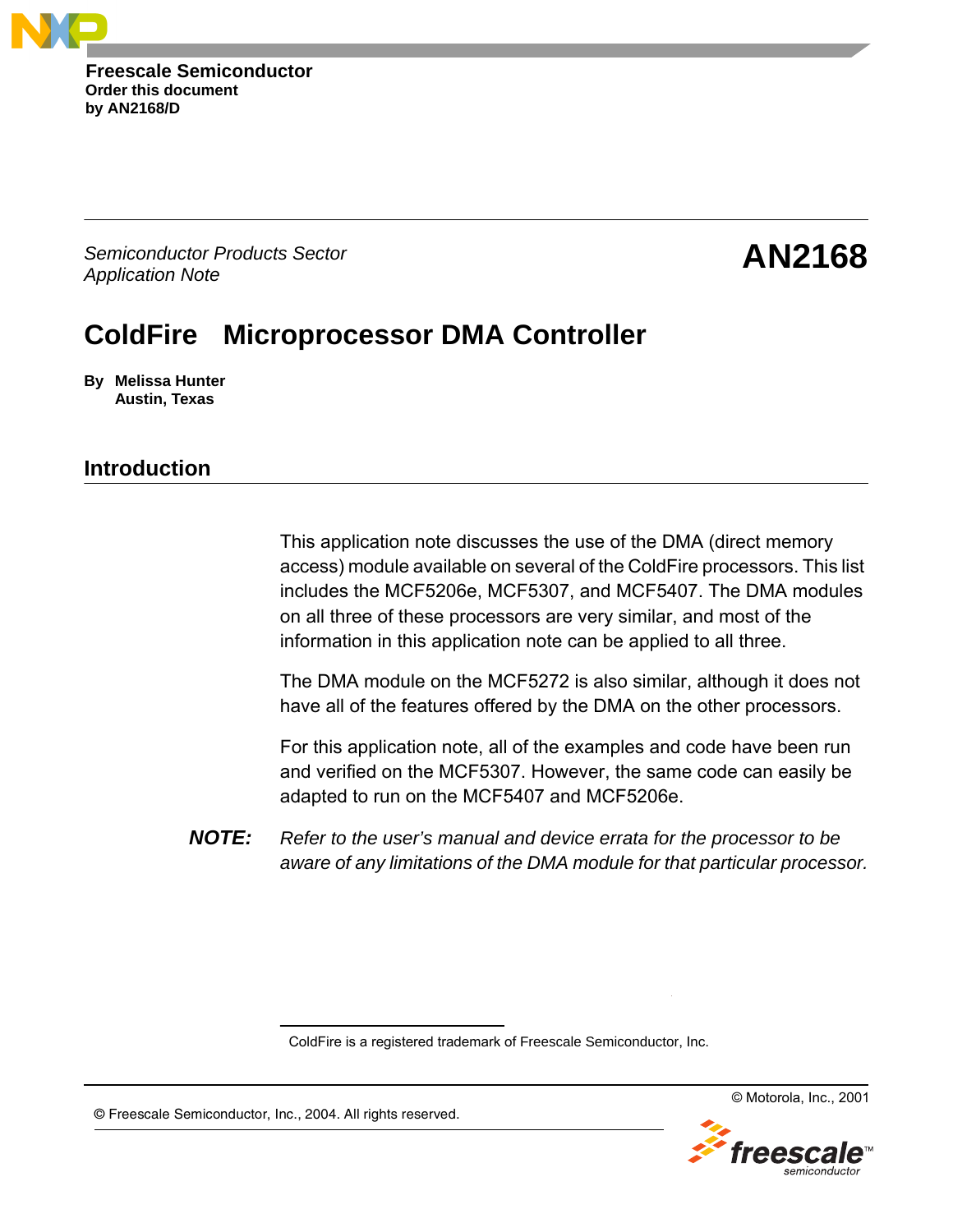**Order this document by AN2168/D Freescale Semiconductor**

Semiconductor Products Sector Application Note

# **AN2168**

# **ColdFire Microprocessor DMA Controller**

**By Melissa Hunter Austin, Texas**

# **Introduction**

This application note discusses the use of the DMA (direct memory access) module available on several of the ColdFire processors. This list includes the MCF5206e, MCF5307, and MCF5407. The DMA modules on all three of these processors are very similar, and most of the information in this application note can be applied to all three.

The DMA module on the MCF5272 is also similar, although it does not have all of the features offered by the DMA on the other processors.

For this application note, all of the examples and code have been run and verified on the MCF5307. However, the same code can easily be adapted to run on the MCF5407 and MCF5206e.

**NOTE:** Refer to the user's manual and device errata for the processor to be aware of any limitations of the DMA module for that particular processor.

®ColdFire is a registered trademark of Freescale Semiconductor, Inc.

TM

© Motorola, Inc., 2001



© Freescale Semiconductor, Inc., 2004. All rights reserved.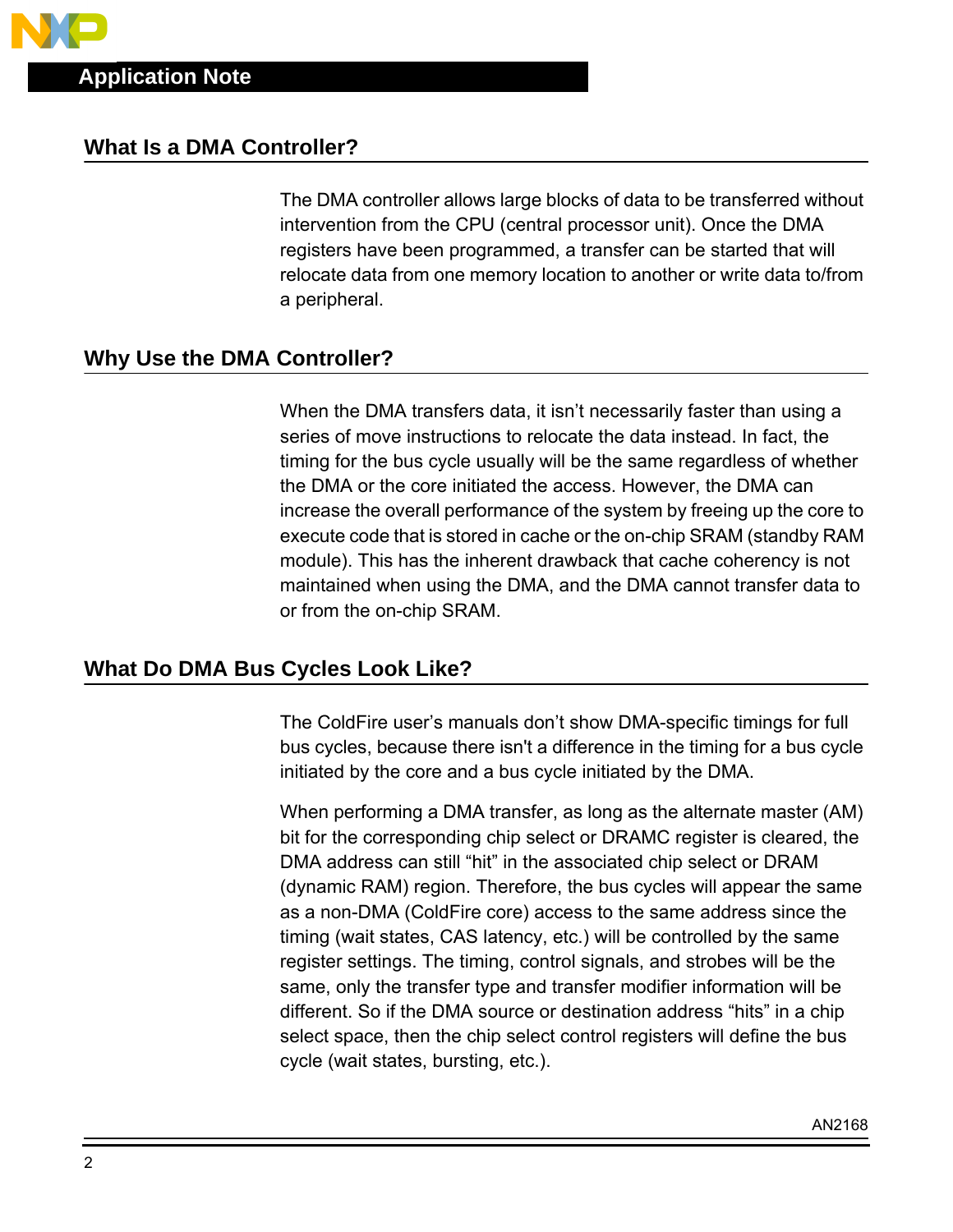### **What Is a DMA Controller?**

The DMA controller allows large blocks of data to be transferred without intervention from the CPU (central processor unit). Once the DMA registers have been programmed, a transfer can be started that will relocate data from one memory location to another or write data to/from a peripheral.

# **Why Use the DMA Controller?**

When the DMA transfers data, it isn't necessarily faster than using a series of move instructions to relocate the data instead. In fact, the timing for the bus cycle usually will be the same regardless of whether the DMA or the core initiated the access. However, the DMA can increase the overall performance of the system by freeing up the core to execute code that is stored in cache or the on-chip SRAM (standby RAM module). This has the inherent drawback that cache coherency is not maintained when using the DMA, and the DMA cannot transfer data to or from the on-chip SRAM.

# **What Do DMA Bus Cycles Look Like?**

The ColdFire user's manuals don't show DMA-specific timings for full bus cycles, because there isn't a difference in the timing for a bus cycle initiated by the core and a bus cycle initiated by the DMA.

When performing a DMA transfer, as long as the alternate master (AM) bit for the corresponding chip select or DRAMC register is cleared, the DMA address can still "hit" in the associated chip select or DRAM (dynamic RAM) region. Therefore, the bus cycles will appear the same as a non-DMA (ColdFire core) access to the same address since the timing (wait states, CAS latency, etc.) will be controlled by the same register settings. The timing, control signals, and strobes will be the same, only the transfer type and transfer modifier information will be different. So if the DMA source or destination address "hits" in a chip select space, then the chip select control registers will define the bus cycle (wait states, bursting, etc.).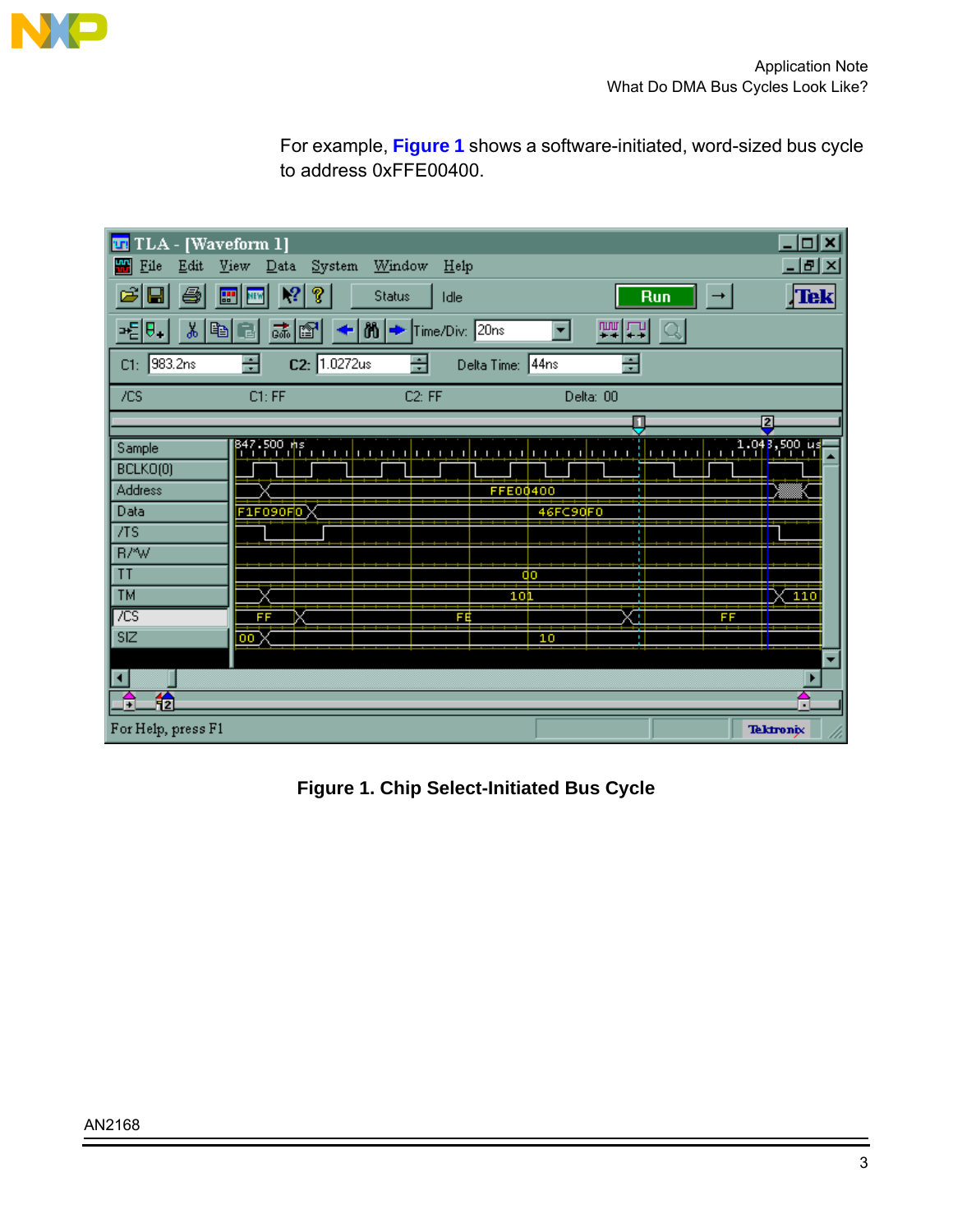<span id="page-2-0"></span>

For example, **Figure 1** shows a software-initiated, word-sized bus cycle to address 0xFFE00400.

| TLA - [Waveform 1]<br><b>ITTE</b>                                                     |                                                                 |                                                  |                                   |                      | $\Box$ o $\overline{\mathbf{x}}$   |
|---------------------------------------------------------------------------------------|-----------------------------------------------------------------|--------------------------------------------------|-----------------------------------|----------------------|------------------------------------|
| 뼮<br>File<br>Edit                                                                     | System<br>View<br>Data                                          | Window<br>Help                                   |                                   |                      | 그피지                                |
| Ч<br>æ                                                                                | 2 <br>P                                                         | <b>Status</b><br>Idle                            |                                   | Run<br>$\rightarrow$ | Tek                                |
| y,<br>$\mathbb{E}[\mathbb{H}]$                                                        | a a<br>역화<br>↞                                                  | $ \mathfrak{h} $ $\rightarrow$<br>Time/Div: 20ns |                                   | 画口                   |                                    |
| C1: 983.2ns                                                                           | ÷<br>C2: 1.0272us                                               | ÷<br>Delta Time: 44ns                            |                                   | ÷                    |                                    |
| /CS                                                                                   | C1: FF                                                          | C2: FF                                           | Delta: 00                         |                      |                                    |
|                                                                                       |                                                                 |                                                  |                                   | Ų                    | 12                                 |
| Sample<br>BCLKO(0)<br><b>Address</b><br>Data<br>/TS<br>R/*W<br>T<br><b>TM</b><br>7CST | $\frac{847.500 \text{ m/s}}{1.11 \text{ Hz}}$<br>F1F090F0<br>FF | FÉ                                               | FFE00400<br>46FC90F0<br>٥o<br>10) | تتساسب<br>FF<br>п    | 1,048,500 us<br>$-110$             |
| SIZ<br>◂                                                                              | 00                                                              |                                                  | 10                                | ٠                    |                                    |
| 稐<br>÷,<br>For Help, press F1                                                         |                                                                 |                                                  |                                   |                      | $\blacksquare$<br><b>Tektronix</b> |

**Figure 1. Chip Select-Initiated Bus Cycle**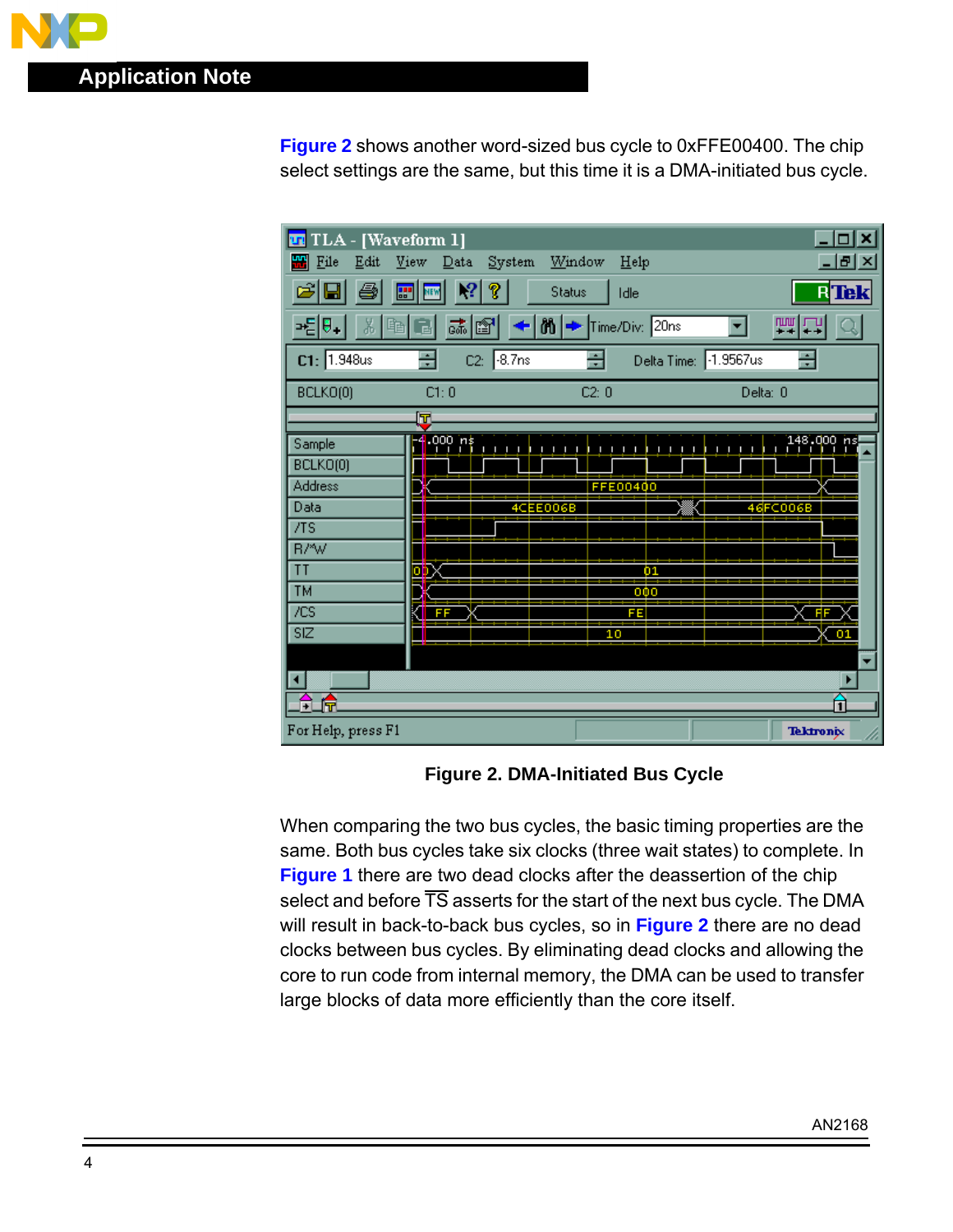**Figure 2** shows another word-sized bus cycle to 0xFFE00400. The chip select settings are the same, but this time it is a DMA-initiated bus cycle.

| TLA - [Waveform 1]<br><b>TITE</b> |                                      |                                                                                                                         | $ \Box$ $\times$ |
|-----------------------------------|--------------------------------------|-------------------------------------------------------------------------------------------------------------------------|------------------|
| 빼<br>Eile<br>Edit                 | Window<br>View<br>System<br>Data     | Help                                                                                                                    | 그미지              |
| $\vert \mathbf{u} \vert$          | 2 <br>?<br>圕<br><b>Status</b><br>NEW | Idle                                                                                                                    | $R$ Tek $\mid$   |
| - 티카<br>太阳日                       | 誌 <br>n E                            | $\leftarrow$ M $\rightleftharpoons$ Time/Div: 20ns                                                                      | 画口               |
| C1: 1.948us                       | ÷<br>$C2: 8.7$ ns                    | 름<br>Delta Time: 1.9567us                                                                                               | ÷                |
| BCLKO(0)                          | C1:0                                 | C2:0                                                                                                                    | Delta: 0         |
|                                   | lT.                                  |                                                                                                                         |                  |
| Sample                            | 4.000 ns<br>п<br>n.<br>п             | $\overline{1}$ $\overline{1}$ $\overline{1}$ $\overline{1}$ $\overline{1}$ $\overline{1}$<br>11111<br>$\mathbf{1}$<br>п |                  |
| BCLKO(0)                          |                                      |                                                                                                                         |                  |
| <b>Address</b>                    |                                      | FFE00400                                                                                                                |                  |
| Data                              | 4CEE006B                             |                                                                                                                         | 46FC006B         |
| /TS                               |                                      |                                                                                                                         |                  |
| R/*W                              |                                      |                                                                                                                         |                  |
| ΤT                                | ō                                    | Ò1                                                                                                                      |                  |
| <b>TM</b>                         |                                      | 000                                                                                                                     |                  |
| /CS                               | FF                                   | FE                                                                                                                      |                  |
| SIZ                               |                                      | 10                                                                                                                      | $_{01}$          |
|                                   |                                      |                                                                                                                         | ▼                |
| ◂                                 |                                      |                                                                                                                         |                  |
| 帍<br>F.                           |                                      |                                                                                                                         | î                |
| For Help, press F1                |                                      |                                                                                                                         | <b>Tektronix</b> |

**Figure 2. DMA-Initiated Bus Cycle**

When comparing the two bus cycles, the basic timing properties are the same. Both bus cycles take six clocks (three wait states) to complete. In **[Figure 1](#page-2-0)** there are two dead clocks after the deassertion of the chip select and before  $\overline{\text{TS}}$  asserts for the start of the next bus cycle. The DMA will result in back-to-back bus cycles, so in **Figure 2** there are no dead clocks between bus cycles. By eliminating dead clocks and allowing the core to run code from internal memory, the DMA can be used to transfer large blocks of data more efficiently than the core itself.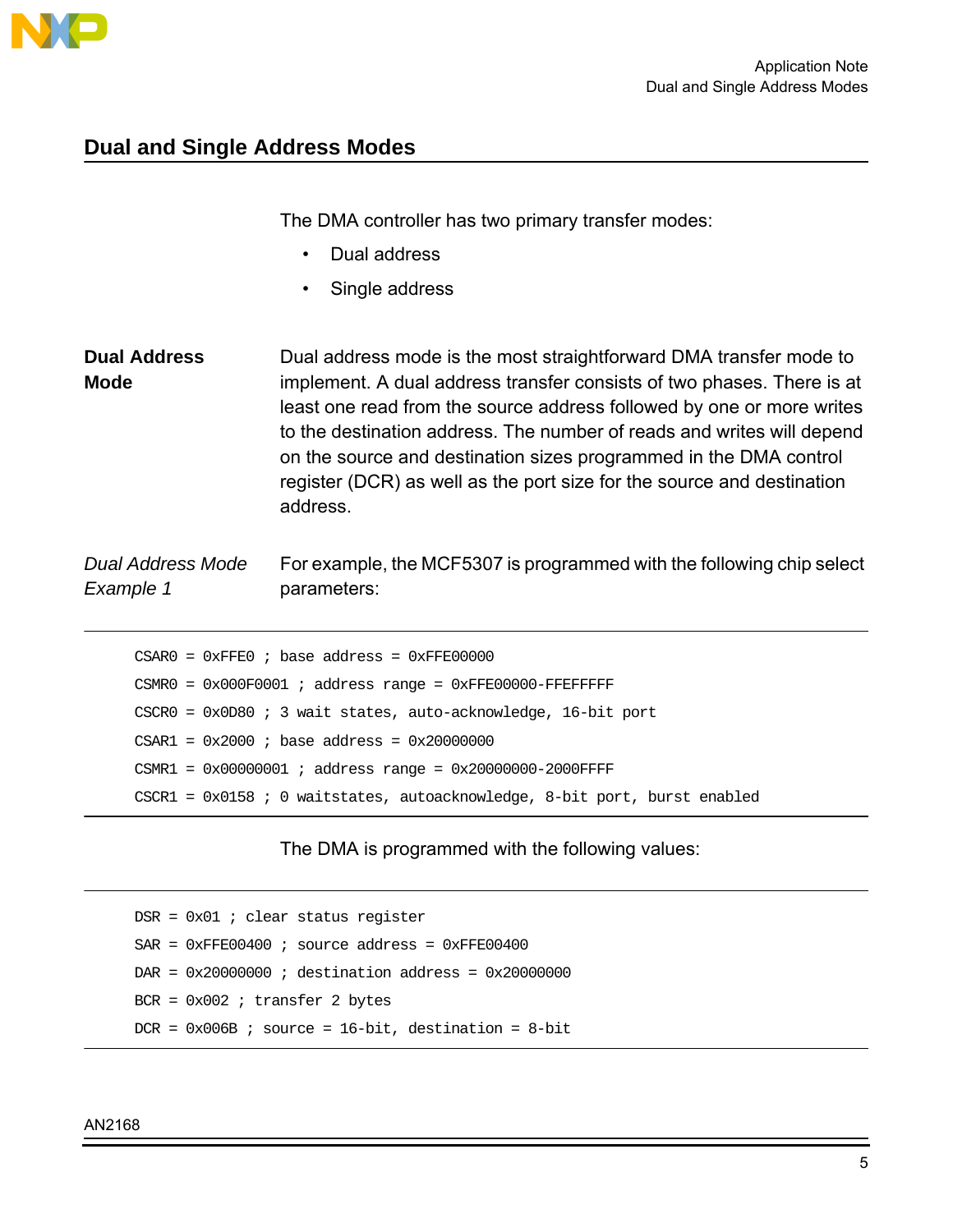<span id="page-4-0"></span>

### **Dual and Single Address Modes**

The DMA controller has two primary transfer modes:

- Dual address
- Single address

**Dual Address Mode** Dual address mode is the most straightforward DMA transfer mode to implement. A dual address transfer consists of two phases. There is at least one read from the source address followed by one or more writes to the destination address. The number of reads and writes will depend on the source and destination sizes programmed in the DMA control register (DCR) as well as the port size for the source and destination address.

Dual Address Mode Example 1 For example, the MCF5307 is programmed with the following chip select parameters:

 $CSAR0 = 0xFFE0$  ; base address =  $0xFFE000000$ CSMR0 = 0x000F0001 ; address range = 0xFFE00000-FFEFFFFF CSCR0 = 0x0D80 ; 3 wait states, auto-acknowledge, 16-bit port  $CSAR1 = 0x2000$  ; base address =  $0x20000000$  $CSMR1 = 0x00000001$  ; address range =  $0x20000000-2000FFFF$ CSCR1 = 0x0158 ; 0 waitstates, autoacknowledge, 8-bit port, burst enabled

#### The DMA is programmed with the following values:

DSR = 0x01 ; clear status register  $SAR = 0xFFE00400$  ; source address =  $0xFFE00400$  $DAR = 0x200000000$  ; destination address =  $0x200000000$ BCR = 0x002 ; transfer 2 bytes  $DCR = 0x006B$  ; source = 16-bit, destination = 8-bit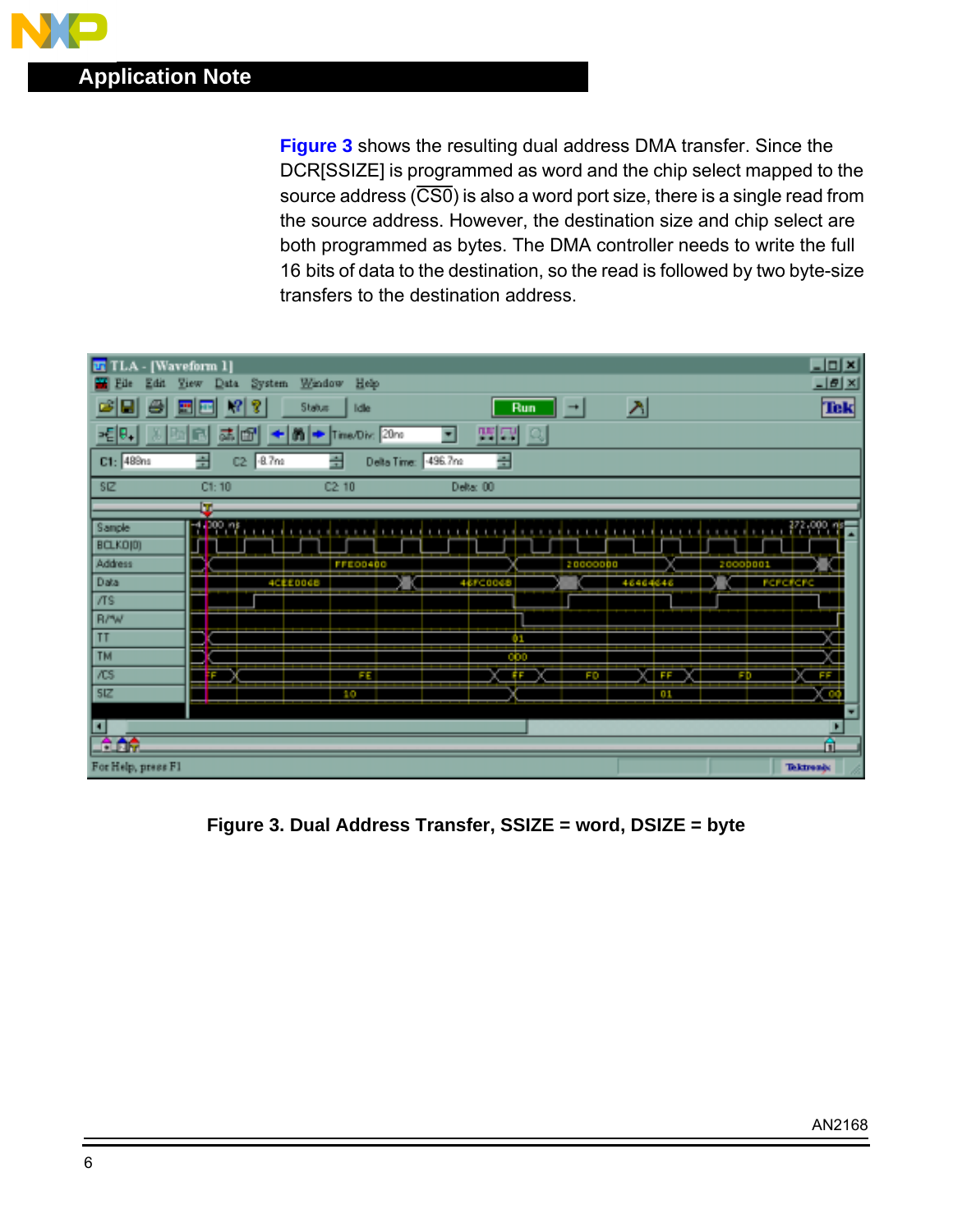<span id="page-5-0"></span>**Figure 3** shows the resulting dual address DMA transfer. Since the DCR[SSIZE] is programmed as word and the chip select mapped to the source address  $(\overline{CS0})$  is also a word port size, there is a single read from the source address. However, the destination size and chip select are both programmed as bytes. The DMA controller needs to write the full 16 bits of data to the destination, so the read is followed by two byte-size transfers to the destination address.



**Figure 3. Dual Address Transfer, SSIZE = word, DSIZE = byte**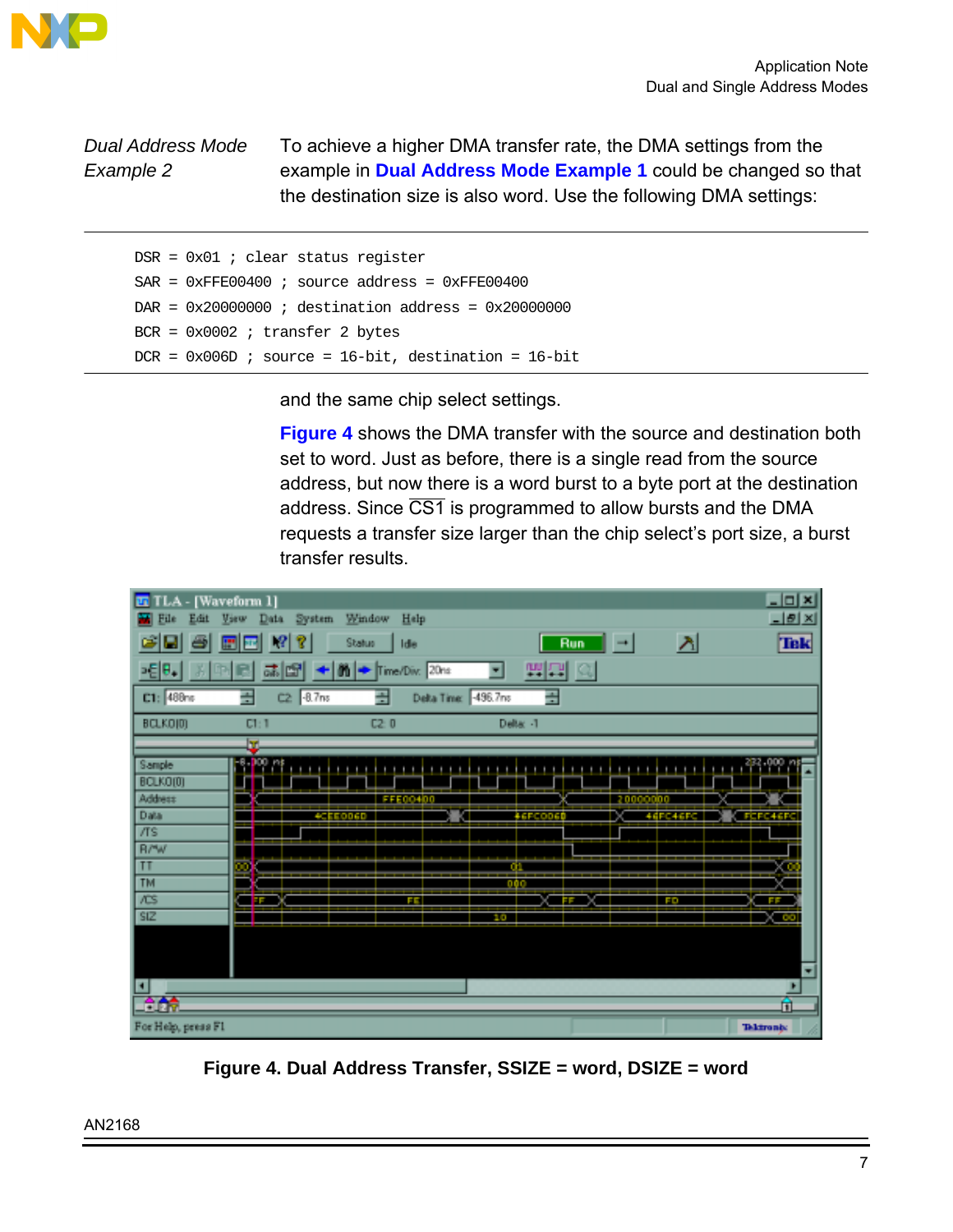<span id="page-6-0"></span>

# Dual Address Mode Example 2

To achieve a higher DMA transfer rate, the DMA settings from the example in **[Dual Address Mode Example 1](#page-4-0)** could be changed so that the destination size is also word. Use the following DMA settings:

 $DSR = 0x01$  ; clear status register  $SAR = 0xFFE00400$  ; source address =  $0xFFE00400$  $DAR = 0x200000000$  ; destination address =  $0x200000000$ BCR = 0x0002 ; transfer 2 bytes  $DCR = 0x006D$  ; source = 16-bit, destination = 16-bit

and the same chip select settings.

**Figure 4** shows the DMA transfer with the source and destination both set to word. Just as before, there is a single read from the source address, but now there is a word burst to a byte port at the destination address. Since CS1 is programmed to allow bursts and the DMA requests a transfer size larger than the chip select's port size, a burst transfer results.



**Figure 4. Dual Address Transfer, SSIZE = word, DSIZE = word**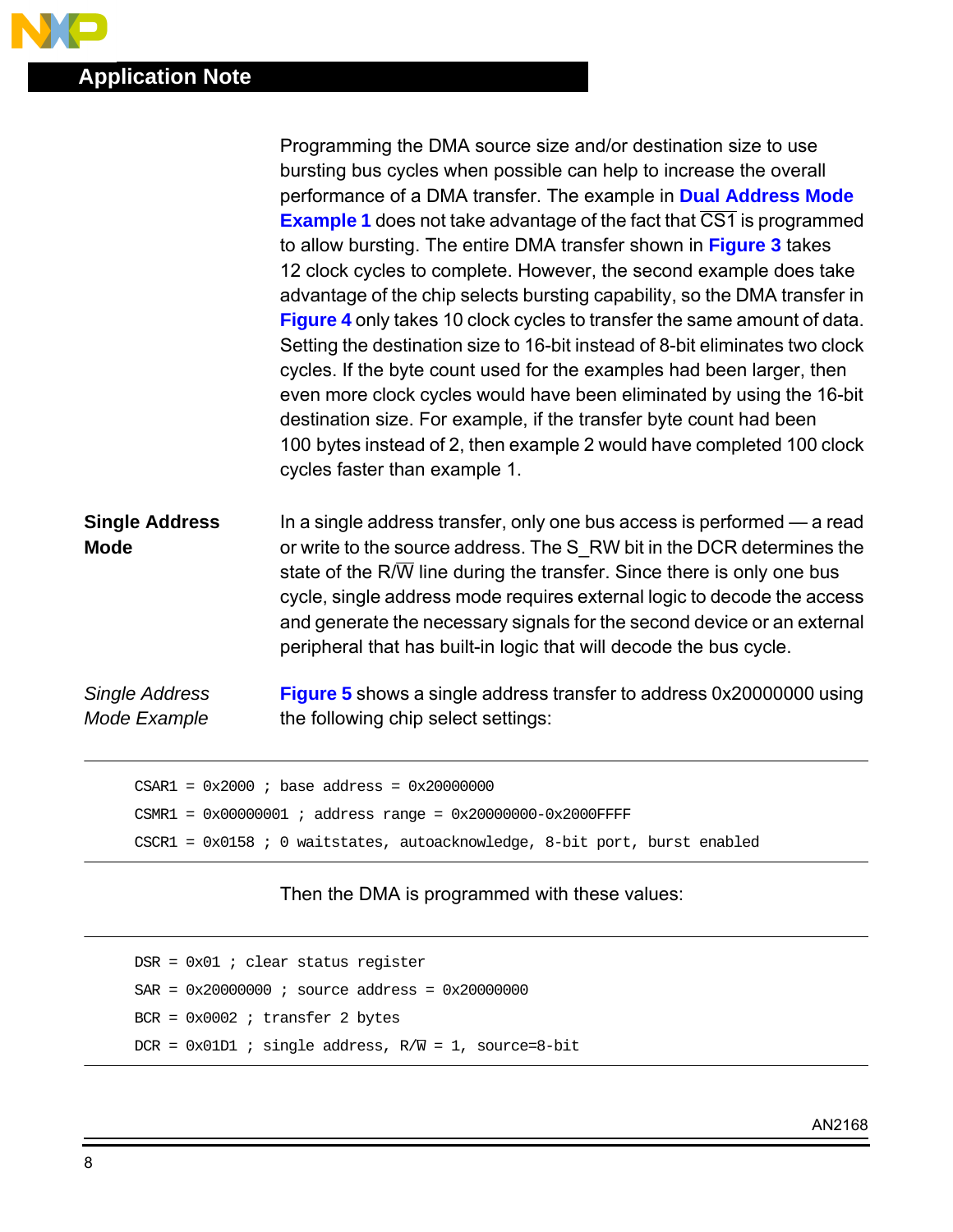$\bullet$ 

|                                      | Programming the DMA source size and/or destination size to use                                                                                                                                                                                                                                                                                                                                                                                                       |
|--------------------------------------|----------------------------------------------------------------------------------------------------------------------------------------------------------------------------------------------------------------------------------------------------------------------------------------------------------------------------------------------------------------------------------------------------------------------------------------------------------------------|
|                                      | bursting bus cycles when possible can help to increase the overall                                                                                                                                                                                                                                                                                                                                                                                                   |
|                                      | performance of a DMA transfer. The example in Dual Address Mode                                                                                                                                                                                                                                                                                                                                                                                                      |
|                                      | <b>Example 1</b> does not take advantage of the fact that CS1 is programmed                                                                                                                                                                                                                                                                                                                                                                                          |
|                                      | to allow bursting. The entire DMA transfer shown in Figure 3 takes                                                                                                                                                                                                                                                                                                                                                                                                   |
|                                      | 12 clock cycles to complete. However, the second example does take                                                                                                                                                                                                                                                                                                                                                                                                   |
|                                      | advantage of the chip selects bursting capability, so the DMA transfer in                                                                                                                                                                                                                                                                                                                                                                                            |
|                                      | <b>Figure 4</b> only takes 10 clock cycles to transfer the same amount of data.                                                                                                                                                                                                                                                                                                                                                                                      |
|                                      | Setting the destination size to 16-bit instead of 8-bit eliminates two clock<br>cycles. If the byte count used for the examples had been larger, then<br>even more clock cycles would have been eliminated by using the 16-bit<br>destination size. For example, if the transfer byte count had been<br>100 bytes instead of 2, then example 2 would have completed 100 clock<br>cycles faster than example 1.                                                       |
| <b>Single Address</b><br><b>Mode</b> | In a single address transfer, only one bus access is performed — a read<br>or write to the source address. The S_RW bit in the DCR determines the<br>state of the $R/\overline{W}$ line during the transfer. Since there is only one bus<br>cycle, single address mode requires external logic to decode the access<br>and generate the necessary signals for the second device or an external<br>peripheral that has built-in logic that will decode the bus cycle. |
| <b>Single Address</b>                | <b>Figure 5</b> shows a single address transfer to address 0x20000000 using                                                                                                                                                                                                                                                                                                                                                                                          |
| Mode Example                         | the following chip select settings:                                                                                                                                                                                                                                                                                                                                                                                                                                  |
|                                      |                                                                                                                                                                                                                                                                                                                                                                                                                                                                      |
|                                      | $CSARI = 0x2000$ ; base address = $0x20000000$                                                                                                                                                                                                                                                                                                                                                                                                                       |
|                                      |                                                                                                                                                                                                                                                                                                                                                                                                                                                                      |

```
CSMR1 = 0x00000001 ; address range = 0x20000000-0x2000FFFF
CSCR1 = 0x0158 ; 0 waitstates, autoacknowledge, 8-bit port, burst enabled
```
### Then the DMA is programmed with these values:

```
DSR = 0x01 ; clear status register
SAR = 0x200000000 ; source address = 0x200000000BCR = 0x0002 ; transfer 2 bytes
DCR = 0x01D1 ; single address, R/\overline{W} = 1, source=8-bit
```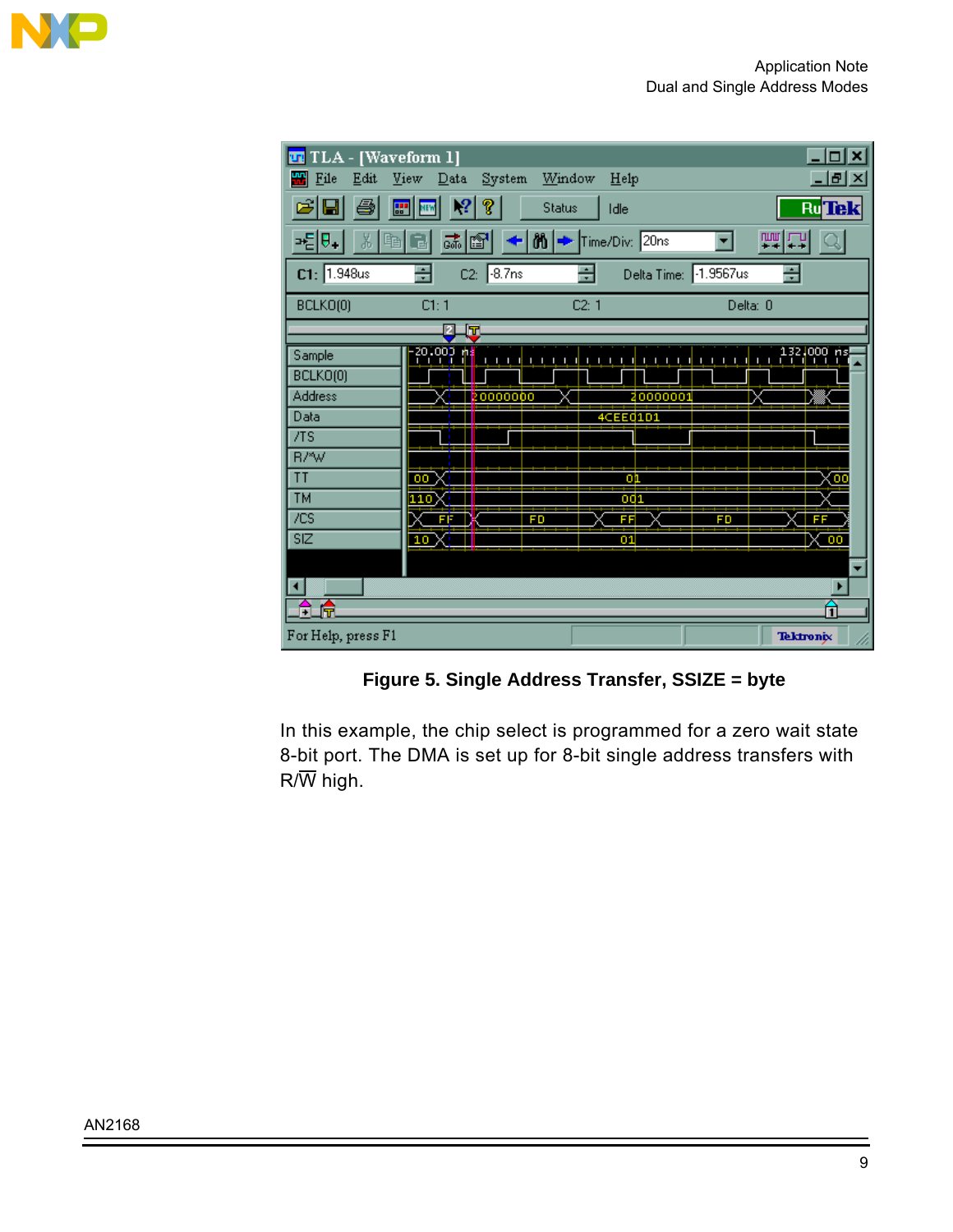

<span id="page-8-0"></span>

**Figure 5. Single Address Transfer, SSIZE = byte**

In this example, the chip select is programmed for a zero wait state 8-bit port. The DMA is set up for 8-bit single address transfers with  $R/\overline{W}$  high.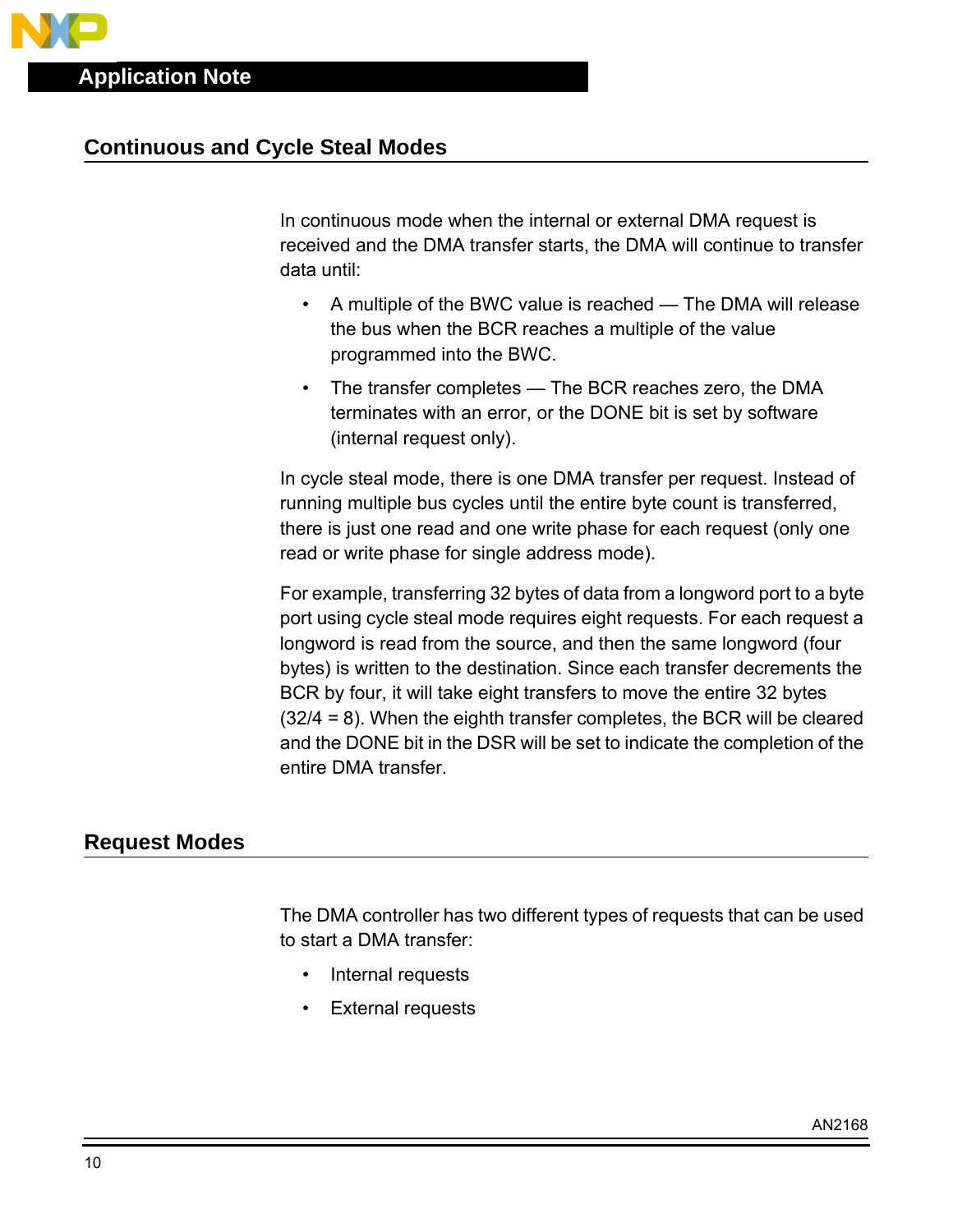# **Continuous and Cycle Steal Modes**

In continuous mode when the internal or external DMA request is received and the DMA transfer starts, the DMA will continue to transfer data until:

- A multiple of the BWC value is reached The DMA will release the bus when the BCR reaches a multiple of the value programmed into the BWC.
- The transfer completes The BCR reaches zero, the DMA terminates with an error, or the DONE bit is set by software (internal request only).

In cycle steal mode, there is one DMA transfer per request. Instead of running multiple bus cycles until the entire byte count is transferred, there is just one read and one write phase for each request (only one read or write phase for single address mode).

For example, transferring 32 bytes of data from a longword port to a byte port using cycle steal mode requires eight requests. For each request a longword is read from the source, and then the same longword (four bytes) is written to the destination. Since each transfer decrements the BCR by four, it will take eight transfers to move the entire 32 bytes (32/4 = 8). When the eighth transfer completes, the BCR will be cleared and the DONE bit in the DSR will be set to indicate the completion of the entire DMA transfer.

# **Request Modes**

The DMA controller has two different types of requests that can be used to start a DMA transfer:

- Internal requests
- **External requests**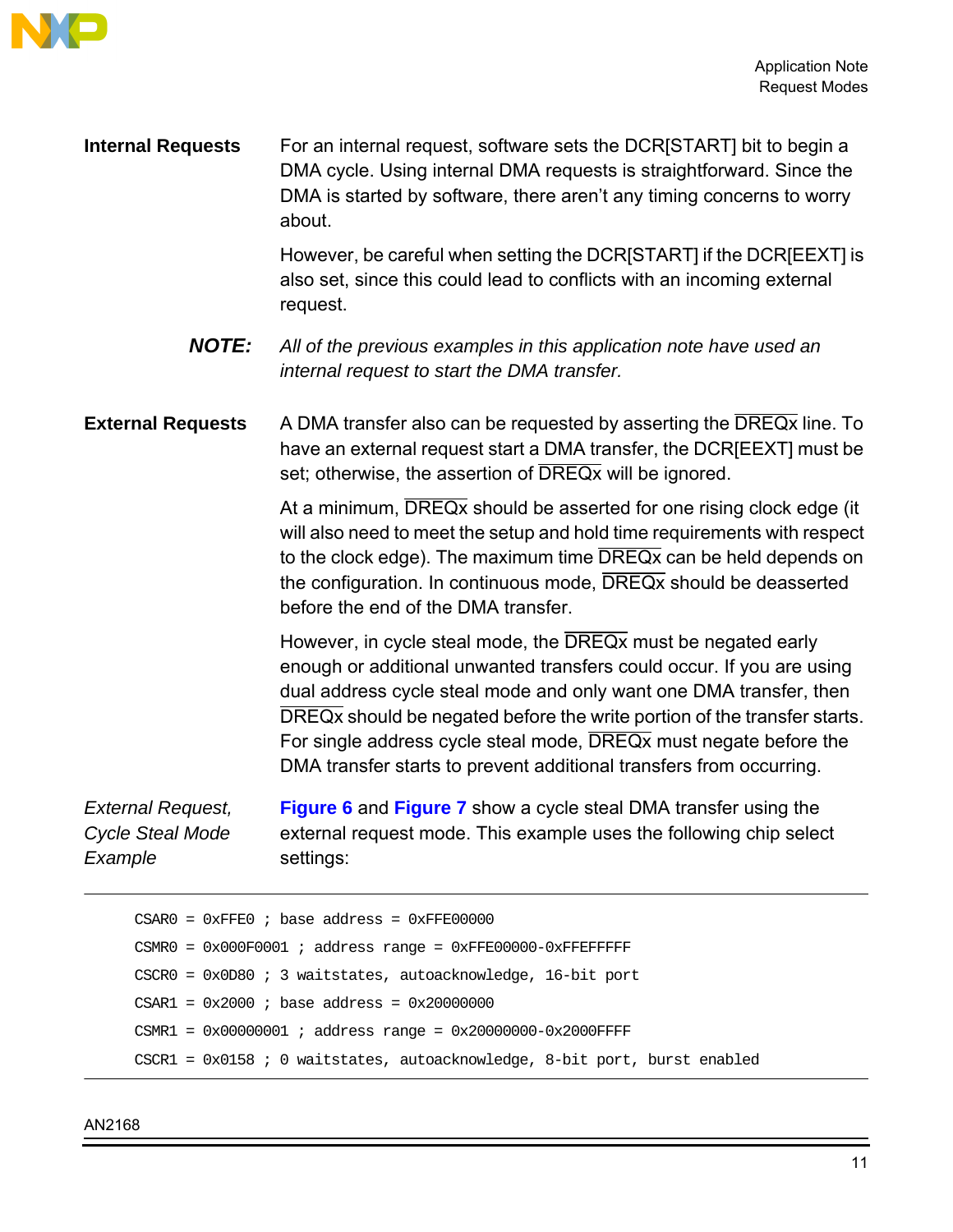

**Internal Requests** For an internal request, software sets the DCR[START] bit to begin a DMA cycle. Using internal DMA requests is straightforward. Since the DMA is started by software, there aren't any timing concerns to worry about.

> However, be careful when setting the DCR[START] if the DCR[EEXT] is also set, since this could lead to conflicts with an incoming external request.

**NOTE:** All of the previous examples in this application note have used an internal request to start the DMA transfer.

#### **External Requests** A DMA transfer also can be requested by asserting the DREQx line. To have an external request start a DMA transfer, the DCR[EEXT] must be set; otherwise, the assertion of DREQ<sub>x</sub> will be ignored.

At a minimum, DREQx should be asserted for one rising clock edge (it will also need to meet the setup and hold time requirements with respect to the clock edge). The maximum time DREQx can be held depends on the configuration. In continuous mode, DREQx should be deasserted before the end of the DMA transfer.

However, in cycle steal mode, the DREQx must be negated early enough or additional unwanted transfers could occur. If you are using dual address cycle steal mode and only want one DMA transfer, then DREQx should be negated before the write portion of the transfer starts. For single address cycle steal mode, DREQx must negate before the DMA transfer starts to prevent additional transfers from occurring.

External Request, Cycle Steal Mode **Example [Figure 6](#page-11-0)** and **[Figure 7](#page-12-0)** show a cycle steal DMA transfer using the external request mode. This example uses the following chip select settings:

```
CSAR0 = 0xFFE0 ; base address = 0xFFE000000CSMR0 = 0x000F0001 ; address range = 0xFFE000000-0xFFEFFFFFCSCR0 = 0x0D80 ; 3 waitstates, autoacknowledge, 16-bit port
CSAR1 = 0x2000 ; base address = 0x20000000CSMR1 = 0x00000001 ; address range = 0x20000000-0x2000FFFF
CSCR1 = 0x0158 ; 0 waitstates, autoacknowledge, 8-bit port, burst enabled
```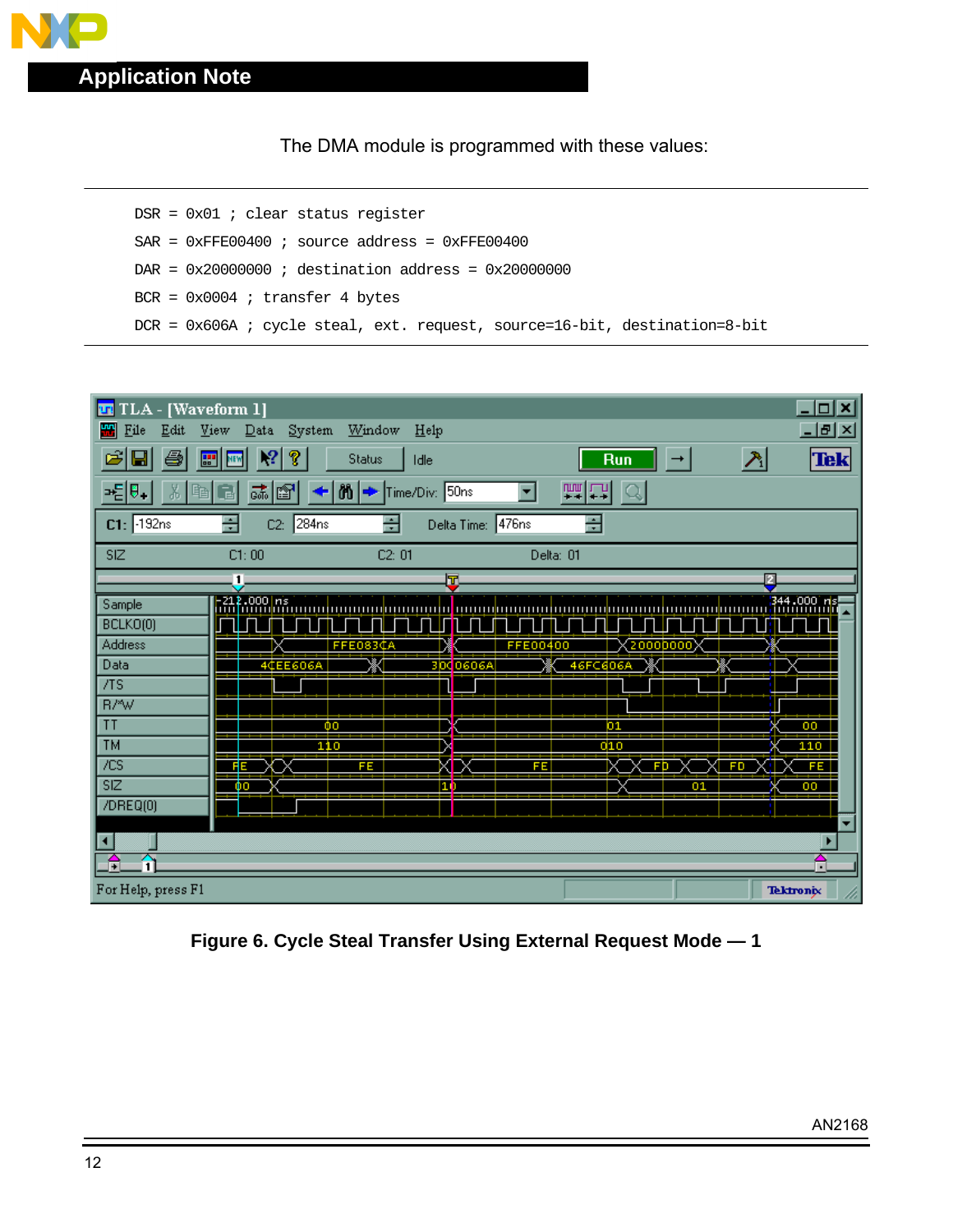<span id="page-11-0"></span>

The DMA module is programmed with these values:

DSR = 0x01 ; clear status register  $SAR = 0xFFE00400$  ; source address =  $0xFFE00400$ DAR = 0x20000000 ; destination address = 0x20000000 BCR = 0x0004 ; transfer 4 bytes DCR = 0x606A ; cycle steal, ext. request, source=16-bit, destination=8-bit



**Figure 6. Cycle Steal Transfer Using External Request Mode — 1**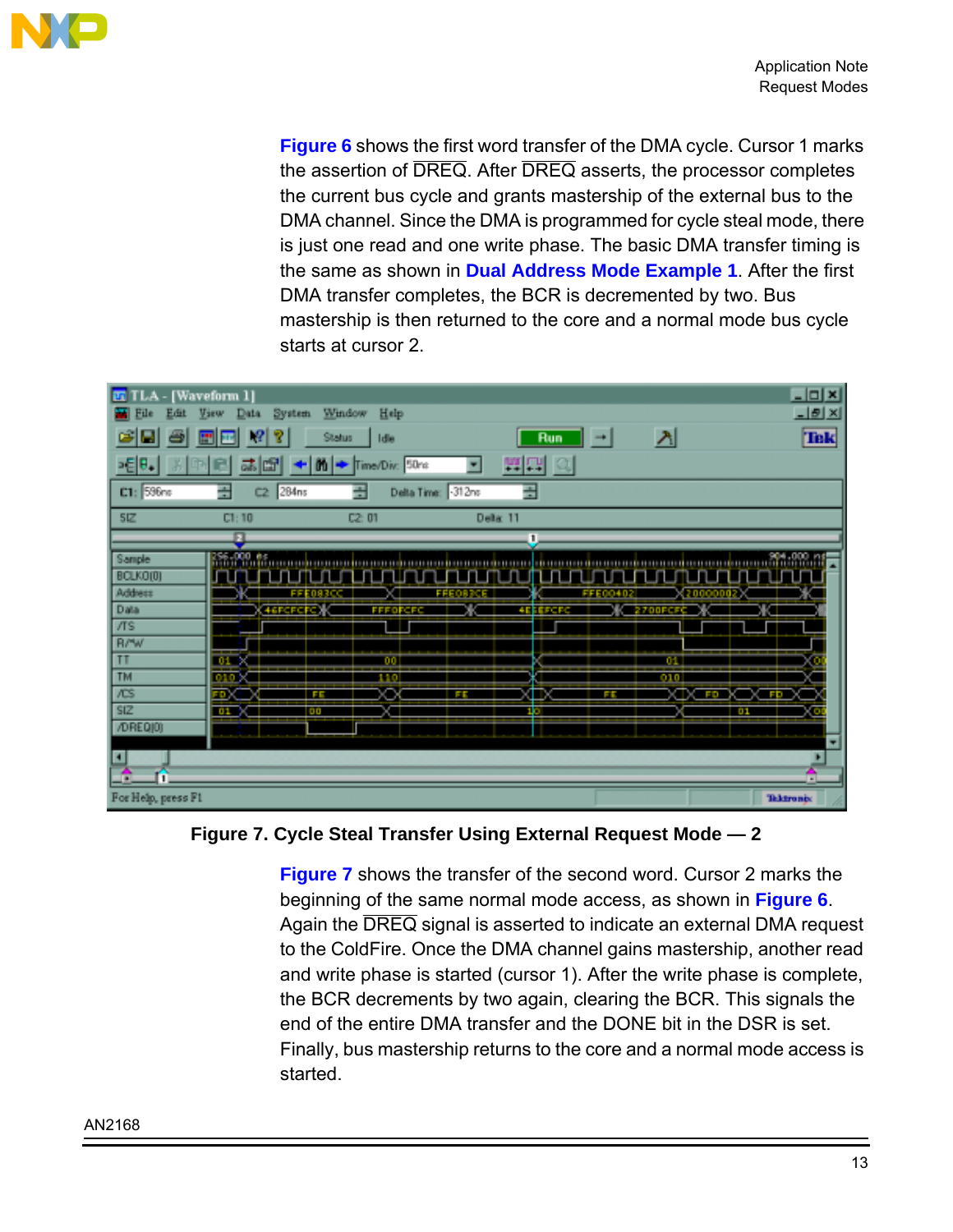<span id="page-12-0"></span>

**[Figure 6](#page-11-0)** shows the first word transfer of the DMA cycle. Cursor 1 marks the assertion of DREQ. After DREQ asserts, the processor completes the current bus cycle and grants mastership of the external bus to the DMA channel. Since the DMA is programmed for cycle steal mode, there is just one read and one write phase. The basic DMA transfer timing is the same as shown in **[Dual Address Mode Example 1](#page-4-0)**. After the first DMA transfer completes, the BCR is decremented by two. Bus mastership is then returned to the core and a normal mode bus cycle starts at cursor 2.



**Figure 7. Cycle Steal Transfer Using External Request Mode — 2**

**Figure 7** shows the transfer of the second word. Cursor 2 marks the beginning of the same normal mode access, as shown in **[Figure 6](#page-11-0)**. Again the DREQ signal is asserted to indicate an external DMA request to the ColdFire. Once the DMA channel gains mastership, another read and write phase is started (cursor 1). After the write phase is complete, the BCR decrements by two again, clearing the BCR. This signals the end of the entire DMA transfer and the DONE bit in the DSR is set. Finally, bus mastership returns to the core and a normal mode access is started.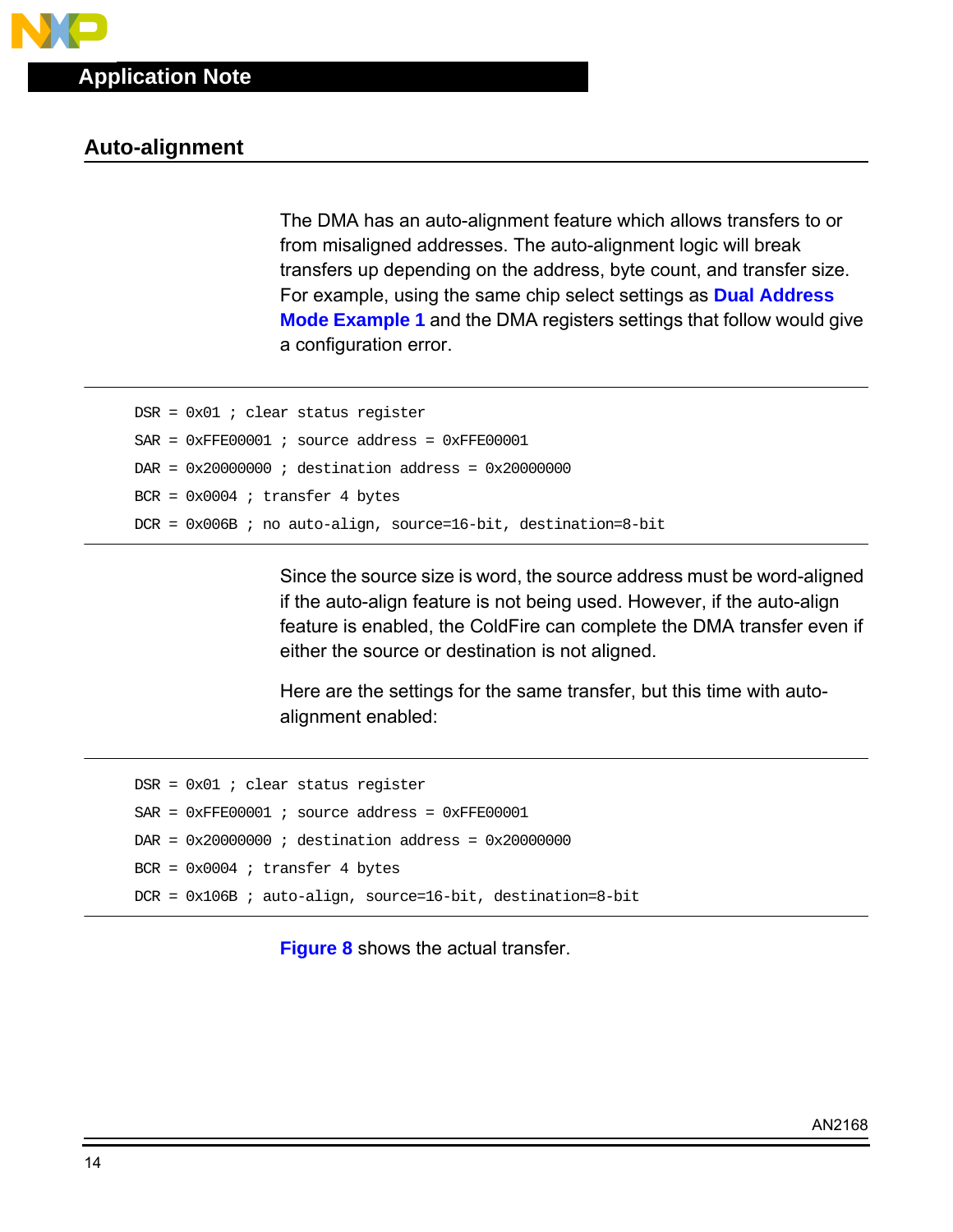## **Auto-alignment**

The DMA has an auto-alignment feature which allows transfers to or from misaligned addresses. The auto-alignment logic will break transfers up depending on the address, byte count, and transfer size. For example, using the same chip select settings as **[Dual Address](#page-4-0) [Mode Example 1](#page-4-0)** and the DMA registers settings that follow would give a configuration error.

```
DSR = 0x01 ; clear status register
SAR = 0xFFE00001 ; source address = 0xFFE00001DAR = 0x20000000 ; destination address = 0x20000000
BCR = 0x0004 ; transfer 4 bytes
DCR = 0x006B ; no auto-align, source=16-bit, destination=8-bit
```
Since the source size is word, the source address must be word-aligned if the auto-align feature is not being used. However, if the auto-align feature is enabled, the ColdFire can complete the DMA transfer even if either the source or destination is not aligned.

Here are the settings for the same transfer, but this time with autoalignment enabled:

```
DSR = 0x01 ; clear status register
SAR = 0xFFE00001 ; source address = 0xFFE00001DAR = 0x20000000 ; destination address = 0x20000000
BCR = 0x0004 ; transfer 4 bytes
DCR = 0x106B ; auto-align, source=16-bit, destination=8-bit
```
**[Figure 8](#page-14-0)** shows the actual transfer.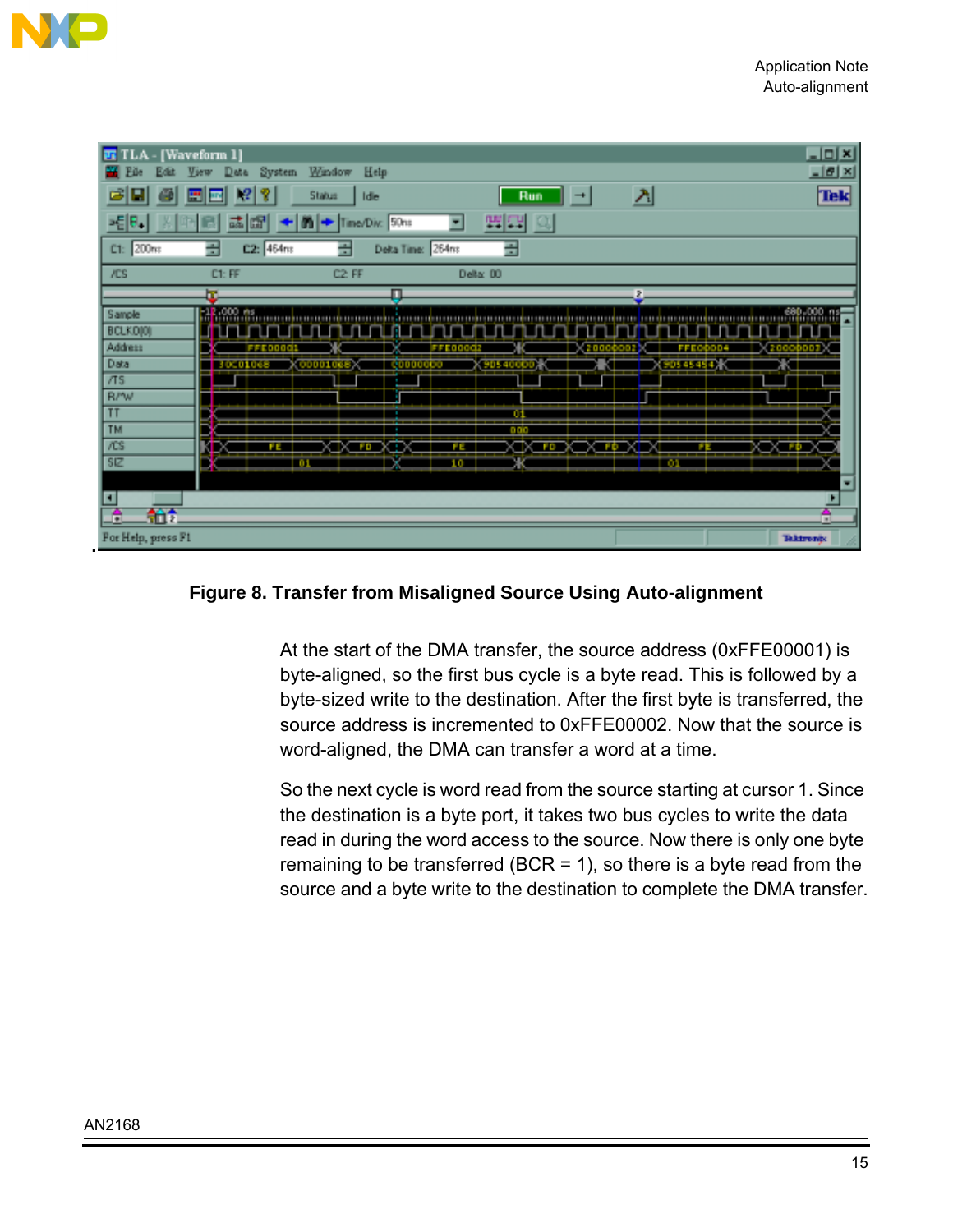<span id="page-14-0"></span>

| [Waveform 1]<br><b>FI</b> TLA                                                                                                                                                             | $\Box$ D $\Box$                 |
|-------------------------------------------------------------------------------------------------------------------------------------------------------------------------------------------|---------------------------------|
| Window<br>Help<br>System<br>View<br>ш<br>Edit<br>Data<br>File                                                                                                                             | $-18$ $\times$                  |
| $\Delta$<br>弓<br>Ÿ<br>Ξ<br>$ P_1 $<br>Status<br>Ð<br>Idie<br>Run<br>$\rightarrow$<br>ᇳ                                                                                                    | <b>Tek</b>                      |
| -테라<br>開口<br>Time/Div: 50ns<br>雷<br>區<br>m                                                                                                                                                |                                 |
| 골<br>곺<br>C1: 200ms<br>골<br>C2: 464ns<br>Delta Time: 264ns                                                                                                                                |                                 |
| <b>/CS</b><br>C2 FF<br>C1: FF<br>Delta: 00                                                                                                                                                |                                 |
| ь<br>п<br>L.                                                                                                                                                                              |                                 |
| Sample<br>BCLKO(0)<br>Address<br>20000007<br>hnna<br>FFI<br>日本町内<br>Data<br>90545454.<br>90540000<br>000010<br>30000000<br>300010es<br>$\pi s$                                            |                                 |
| <b>R/W</b><br>T<br>m<br>٠<br>5<br>TM<br>par<br>/CS<br><b>XTXTED</b><br>O TOX<br><b>X FOX IX</b><br>$\rightarrow$<br>- 3<br>۴E<br>FE.<br>÷,<br>5 <sub>E</sub><br>ж<br>10<br>$-0.1$<br>- 63 |                                 |
| н<br>舶<br>G<br>For Help, press F1                                                                                                                                                         | ٠<br>$\sim$<br><b>Takironiy</b> |

#### **Figure 8. Transfer from Misaligned Source Using Auto-alignment**

At the start of the DMA transfer, the source address (0xFFE00001) is byte-aligned, so the first bus cycle is a byte read. This is followed by a byte-sized write to the destination. After the first byte is transferred, the source address is incremented to 0xFFE00002. Now that the source is word-aligned, the DMA can transfer a word at a time.

So the next cycle is word read from the source starting at cursor 1. Since the destination is a byte port, it takes two bus cycles to write the data read in during the word access to the source. Now there is only one byte remaining to be transferred (BCR = 1), so there is a byte read from the source and a byte write to the destination to complete the DMA transfer.

**.**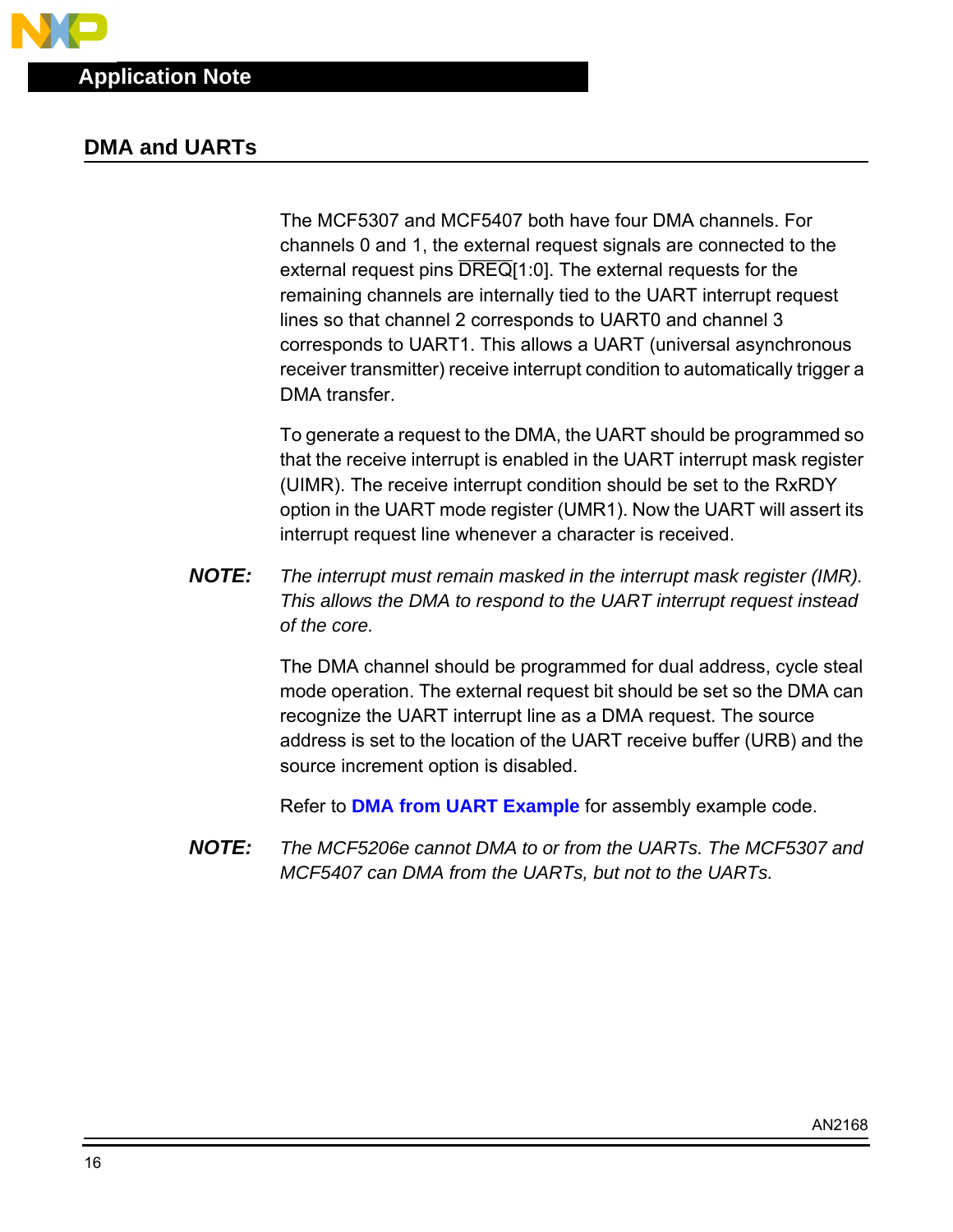### **DMA and UARTs**

The MCF5307 and MCF5407 both have four DMA channels. For channels 0 and 1, the external request signals are connected to the external request pins  $\overline{DREG}[1:0]$ . The external requests for the remaining channels are internally tied to the UART interrupt request lines so that channel 2 corresponds to UART0 and channel 3 corresponds to UART1. This allows a UART (universal asynchronous receiver transmitter) receive interrupt condition to automatically trigger a DMA transfer.

To generate a request to the DMA, the UART should be programmed so that the receive interrupt is enabled in the UART interrupt mask register (UIMR). The receive interrupt condition should be set to the RxRDY option in the UART mode register (UMR1). Now the UART will assert its interrupt request line whenever a character is received.

**NOTE:** The interrupt must remain masked in the interrupt mask register (IMR). This allows the DMA to respond to the UART interrupt request instead of the core.

> The DMA channel should be programmed for dual address, cycle steal mode operation. The external request bit should be set so the DMA can recognize the UART interrupt line as a DMA request. The source address is set to the location of the UART receive buffer (URB) and the source increment option is disabled.

Refer to **[DMA from UART Example](#page-22-0)** for assembly example code.

**NOTE:** The MCF5206e cannot DMA to or from the UARTs. The MCF5307 and MCF5407 can DMA from the UARTs, but not to the UARTs.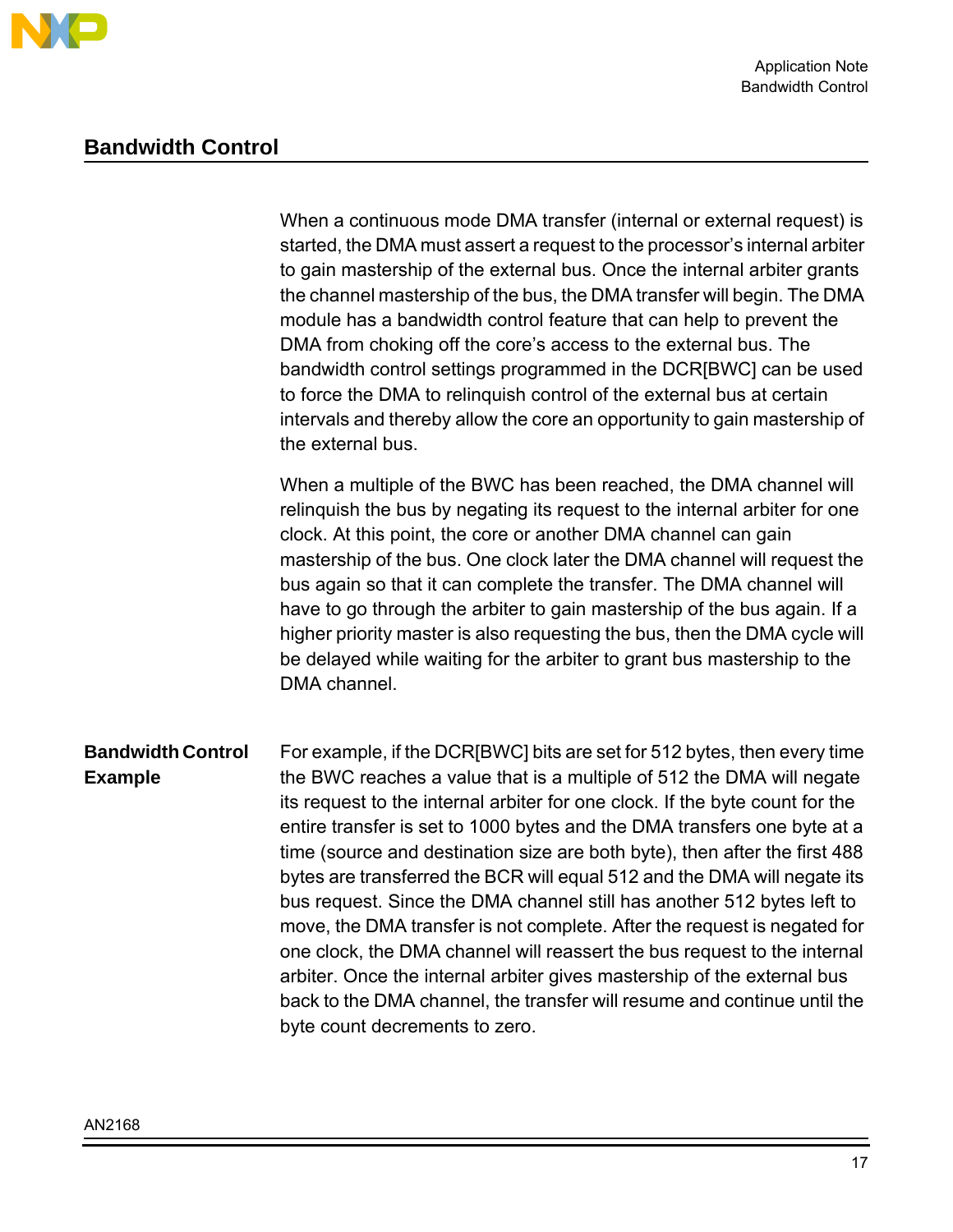

# **Bandwidth Control**

|                                            | When a continuous mode DMA transfer (internal or external request) is<br>started, the DMA must assert a request to the processor's internal arbiter<br>to gain mastership of the external bus. Once the internal arbiter grants<br>the channel mastership of the bus, the DMA transfer will begin. The DMA<br>module has a bandwidth control feature that can help to prevent the<br>DMA from choking off the core's access to the external bus. The<br>bandwidth control settings programmed in the DCR[BWC] can be used<br>to force the DMA to relinquish control of the external bus at certain<br>intervals and thereby allow the core an opportunity to gain mastership of<br>the external bus.                                                                                                                                                                                               |
|--------------------------------------------|----------------------------------------------------------------------------------------------------------------------------------------------------------------------------------------------------------------------------------------------------------------------------------------------------------------------------------------------------------------------------------------------------------------------------------------------------------------------------------------------------------------------------------------------------------------------------------------------------------------------------------------------------------------------------------------------------------------------------------------------------------------------------------------------------------------------------------------------------------------------------------------------------|
|                                            | When a multiple of the BWC has been reached, the DMA channel will<br>relinguish the bus by negating its request to the internal arbiter for one<br>clock. At this point, the core or another DMA channel can gain<br>mastership of the bus. One clock later the DMA channel will request the<br>bus again so that it can complete the transfer. The DMA channel will<br>have to go through the arbiter to gain mastership of the bus again. If a<br>higher priority master is also requesting the bus, then the DMA cycle will<br>be delayed while waiting for the arbiter to grant bus mastership to the<br>DMA channel.                                                                                                                                                                                                                                                                          |
| <b>Bandwidth Control</b><br><b>Example</b> | For example, if the DCR[BWC] bits are set for 512 bytes, then every time<br>the BWC reaches a value that is a multiple of 512 the DMA will negate<br>its request to the internal arbiter for one clock. If the byte count for the<br>entire transfer is set to 1000 bytes and the DMA transfers one byte at a<br>time (source and destination size are both byte), then after the first 488<br>bytes are transferred the BCR will equal 512 and the DMA will negate its<br>bus request. Since the DMA channel still has another 512 bytes left to<br>move, the DMA transfer is not complete. After the request is negated for<br>one clock, the DMA channel will reassert the bus request to the internal<br>arbiter. Once the internal arbiter gives mastership of the external bus<br>back to the DMA channel, the transfer will resume and continue until the<br>byte count decrements to zero. |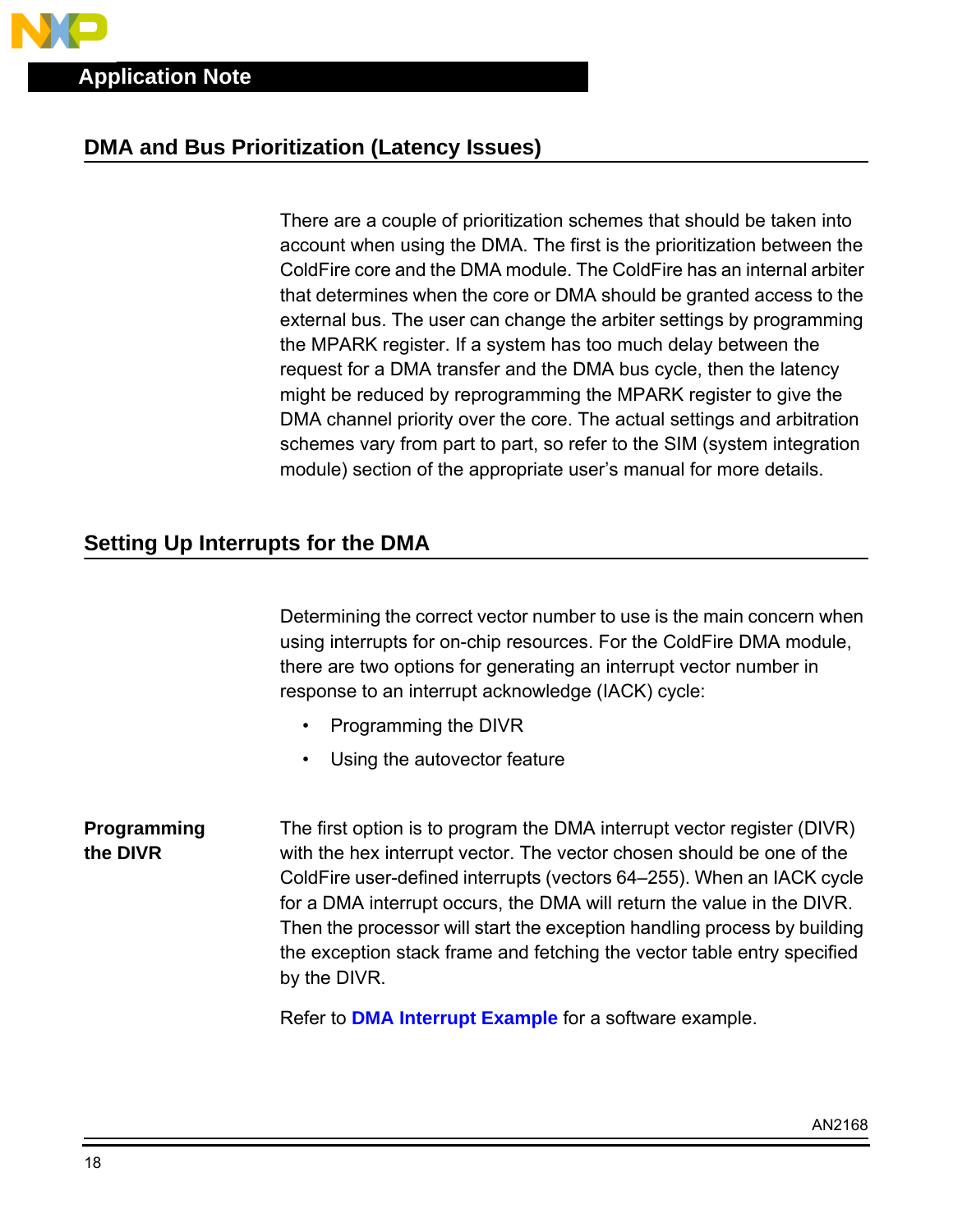# **DMA and Bus Prioritization (Latency Issues)**

There are a couple of prioritization schemes that should be taken into account when using the DMA. The first is the prioritization between the ColdFire core and the DMA module. The ColdFire has an internal arbiter that determines when the core or DMA should be granted access to the external bus. The user can change the arbiter settings by programming the MPARK register. If a system has too much delay between the request for a DMA transfer and the DMA bus cycle, then the latency might be reduced by reprogramming the MPARK register to give the DMA channel priority over the core. The actual settings and arbitration schemes vary from part to part, so refer to the SIM (system integration module) section of the appropriate user's manual for more details.

# **Setting Up Interrupts for the DMA**

Determining the correct vector number to use is the main concern when using interrupts for on-chip resources. For the ColdFire DMA module, there are two options for generating an interrupt vector number in response to an interrupt acknowledge (IACK) cycle:

- Programming the DIVR
- Using the autovector feature

**Programming the DIVR** The first option is to program the DMA interrupt vector register (DIVR) with the hex interrupt vector. The vector chosen should be one of the ColdFire user-defined interrupts (vectors 64–255). When an IACK cycle for a DMA interrupt occurs, the DMA will return the value in the DIVR. Then the processor will start the exception handling process by building the exception stack frame and fetching the vector table entry specified by the DIVR.

Refer to **[DMA Interrupt Example](#page-24-0)** for a software example.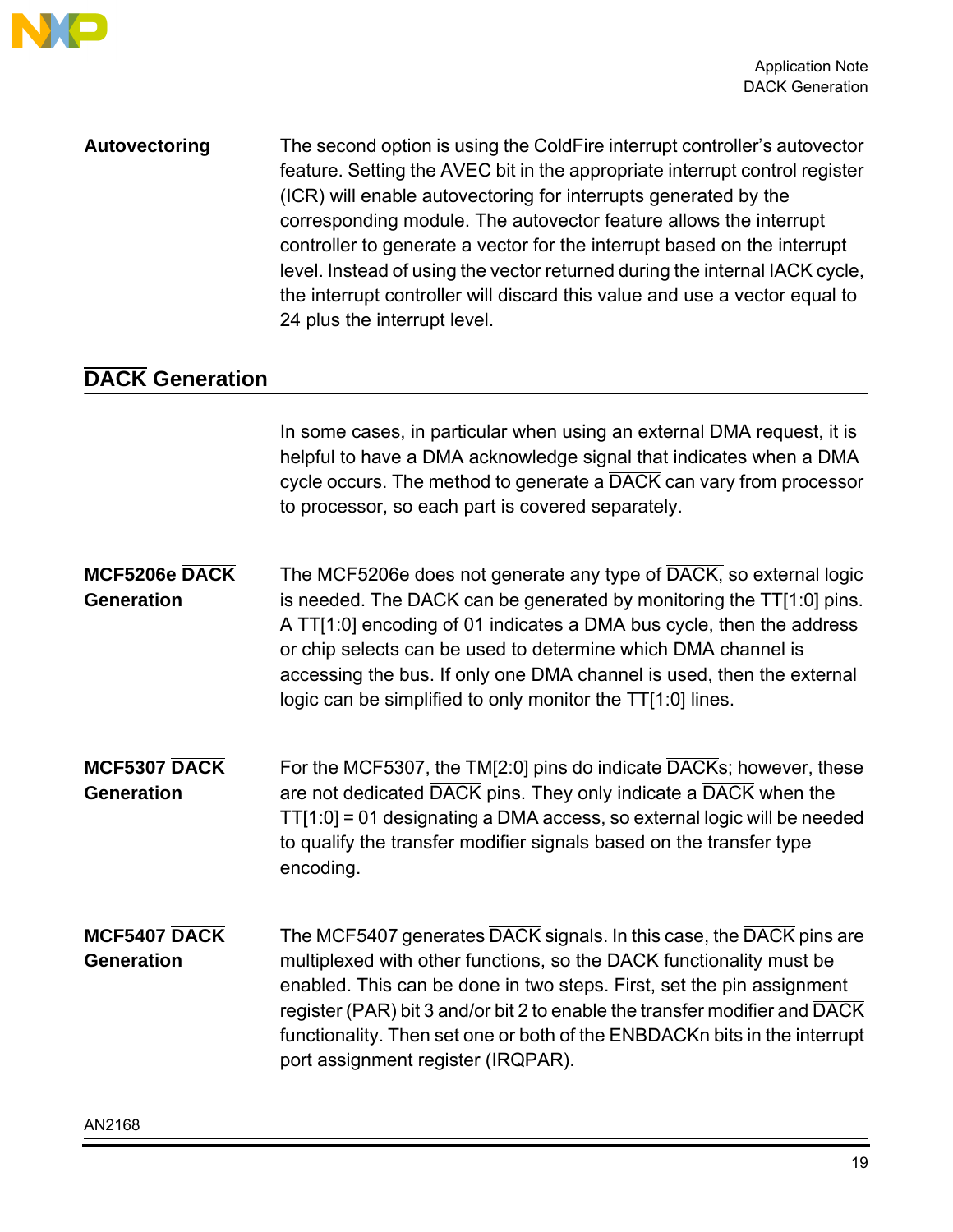

**Autovectoring** The second option is using the ColdFire interrupt controller's autovector feature. Setting the AVEC bit in the appropriate interrupt control register (ICR) will enable autovectoring for interrupts generated by the corresponding module. The autovector feature allows the interrupt controller to generate a vector for the interrupt based on the interrupt level. Instead of using the vector returned during the internal IACK cycle, the interrupt controller will discard this value and use a vector equal to 24 plus the interrupt level.

# **DACK Generation**

In some cases, in particular when using an external DMA request, it is helpful to have a DMA acknowledge signal that indicates when a DMA cycle occurs. The method to generate a DACK can vary from processor to processor, so each part is covered separately.

- **MCF5206e DACK Generation** The MCF5206e does not generate any type of DACK, so external logic is needed. The  $\overline{DACK}$  can be generated by monitoring the TT[1:0] pins. A TT[1:0] encoding of 01 indicates a DMA bus cycle, then the address or chip selects can be used to determine which DMA channel is accessing the bus. If only one DMA channel is used, then the external logic can be simplified to only monitor the TT[1:0] lines.
- **MCF5307 DACK Generation** For the MCF5307, the TM[2:0] pins do indicate DACKs; however, these are not dedicated DACK pins. They only indicate a DACK when the TT[1:0] = 01 designating a DMA access, so external logic will be needed to qualify the transfer modifier signals based on the transfer type encoding.
- **MCF5407 DACK Generation** The MCF5407 generates DACK signals. In this case, the DACK pins are multiplexed with other functions, so the DACK functionality must be enabled. This can be done in two steps. First, set the pin assignment register (PAR) bit 3 and/or bit 2 to enable the transfer modifier and DACK functionality. Then set one or both of the ENBDACKn bits in the interrupt port assignment register (IRQPAR).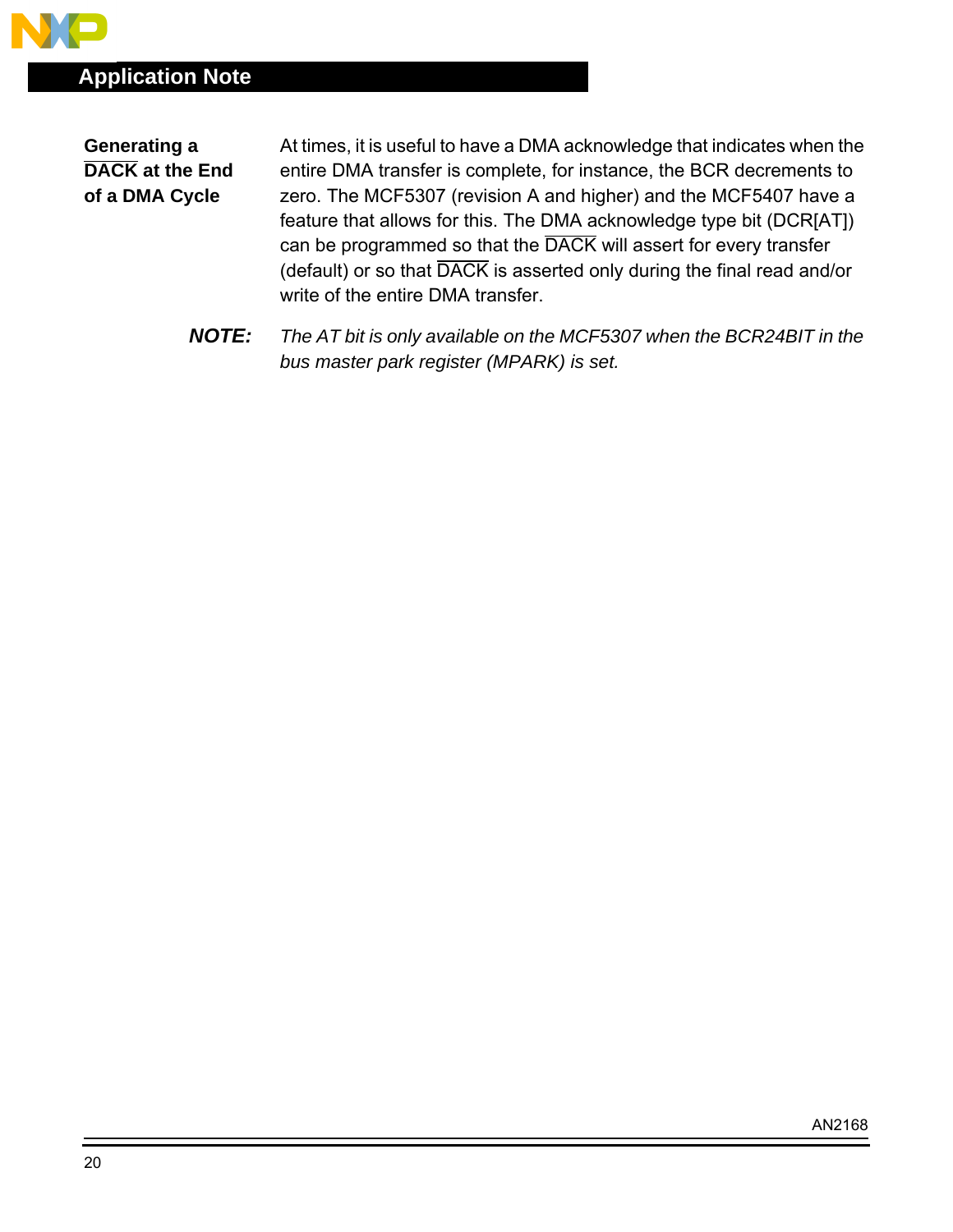**Generating a DACK at the End of a DMA Cycle**

At times, it is useful to have a DMA acknowledge that indicates when the entire DMA transfer is complete, for instance, the BCR decrements to zero. The MCF5307 (revision A and higher) and the MCF5407 have a feature that allows for this. The DMA acknowledge type bit (DCR[AT]) can be programmed so that the DACK will assert for every transfer (default) or so that DACK is asserted only during the final read and/or write of the entire DMA transfer.

**NOTE:** The AT bit is only available on the MCF5307 when the BCR24BIT in the bus master park register (MPARK) is set.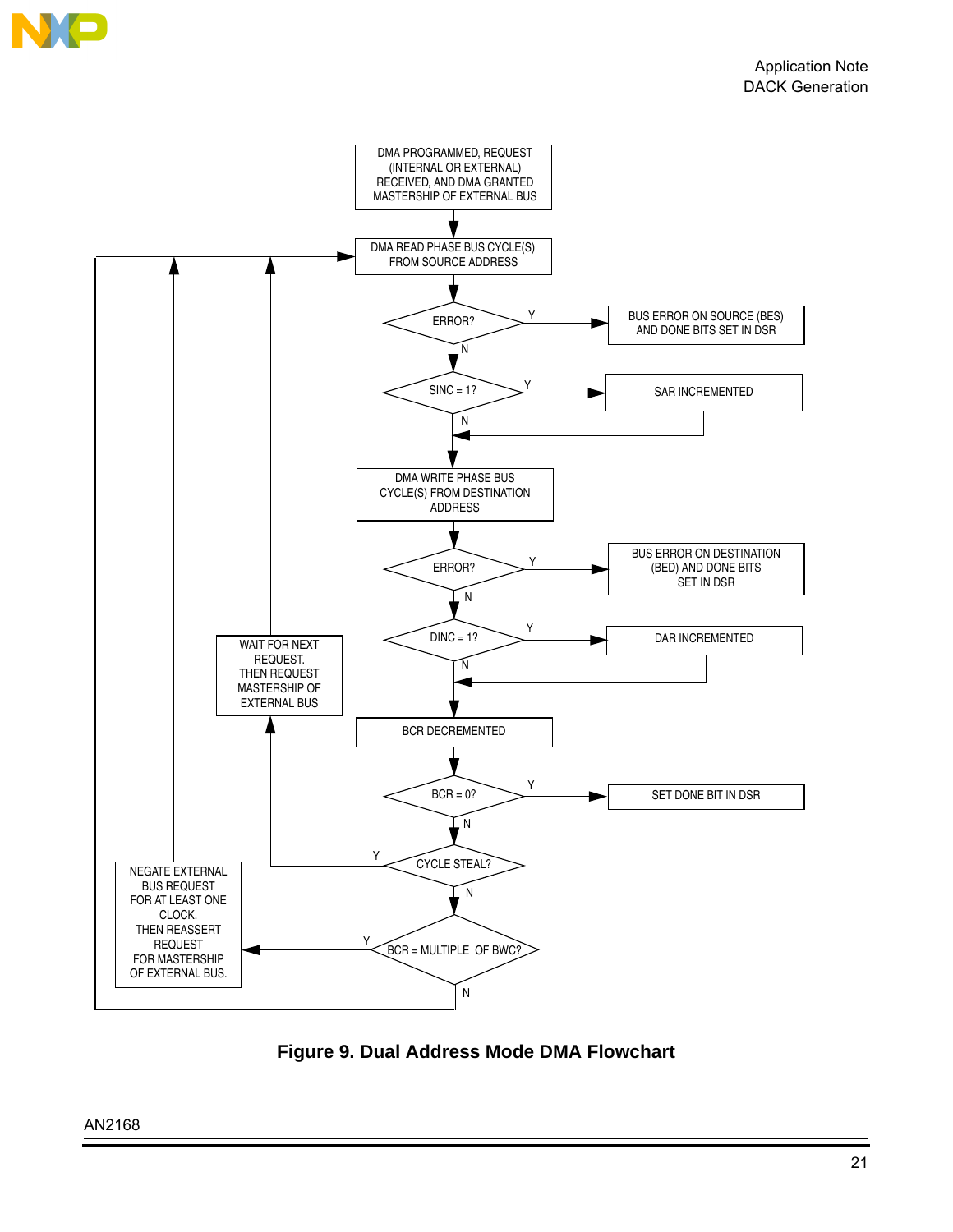

**Figure 9. Dual Address Mode DMA Flowchart**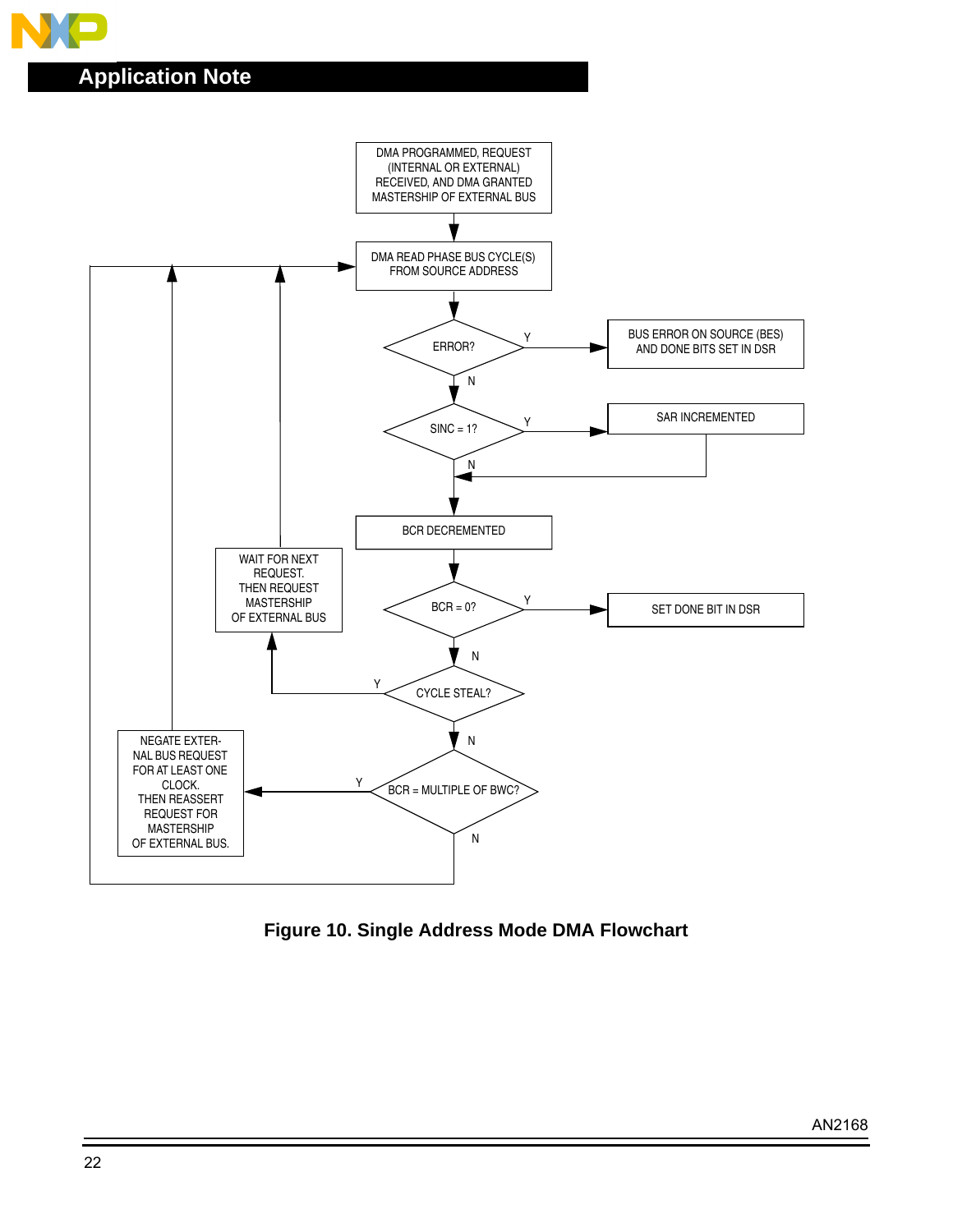



**Figure 10. Single Address Mode DMA Flowchart**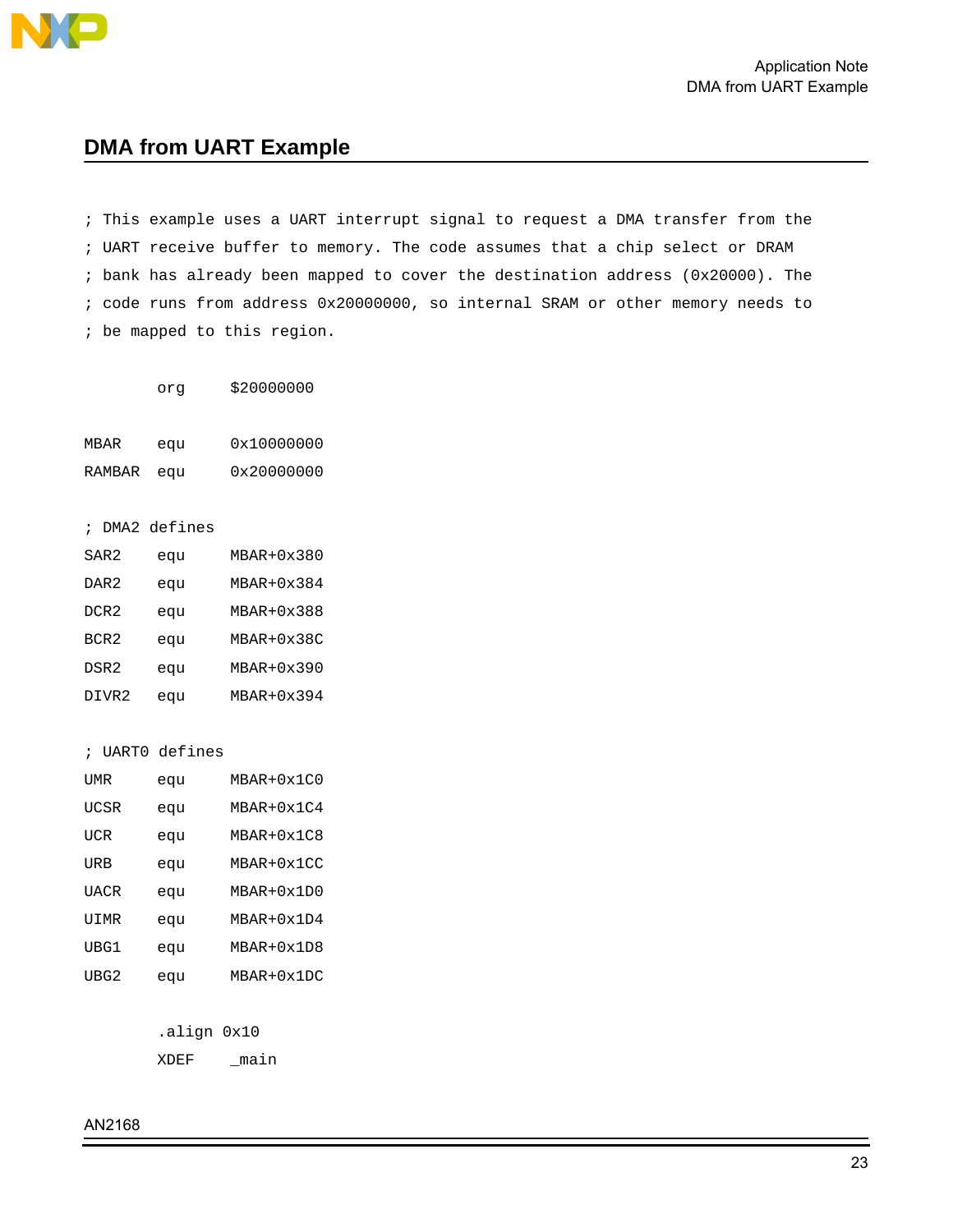<span id="page-22-0"></span>

### **DMA from UART Example**

; This example uses a UART interrupt signal to request a DMA transfer from the ; UART receive buffer to memory. The code assumes that a chip select or DRAM ; bank has already been mapped to cover the destination address (0x20000). The ; code runs from address 0x20000000, so internal SRAM or other memory needs to ; be mapped to this region.

org \$20000000

| MBAR   | equ | 0x10000000 |
|--------|-----|------------|
| RAMBAR | equ | 0x20000000 |

; DMA2 defines

| SAR2             | equ | MBAR+0x380   |
|------------------|-----|--------------|
| DAR <sub>2</sub> | equ | MBAR+0x384   |
| DCR <sub>2</sub> | equ | MBAR+0x388   |
| BCR <sub>2</sub> | equ | MBAR+0x38C   |
| DSR2             | eau | MBAR+0x390   |
| DIVR2            | equ | $MBAR+0x394$ |

; UART0 defines

| UMR  | equ | $MBAR+0x1C0$ |
|------|-----|--------------|
| UCSR | equ | MBAR+0x1C4   |
| UCR  | equ | MBAR+0x1C8   |
| URB  | equ | MBAR+0x1CC   |
| UACR | equ | MBAR+0x1D0   |
| UIMR | equ | $MBAR+0x1D4$ |
| UBG1 | equ | MBAR+0x1D8   |
| UBG2 | equ | $MBAR+0x1DC$ |

.align 0x10

XDEF \_main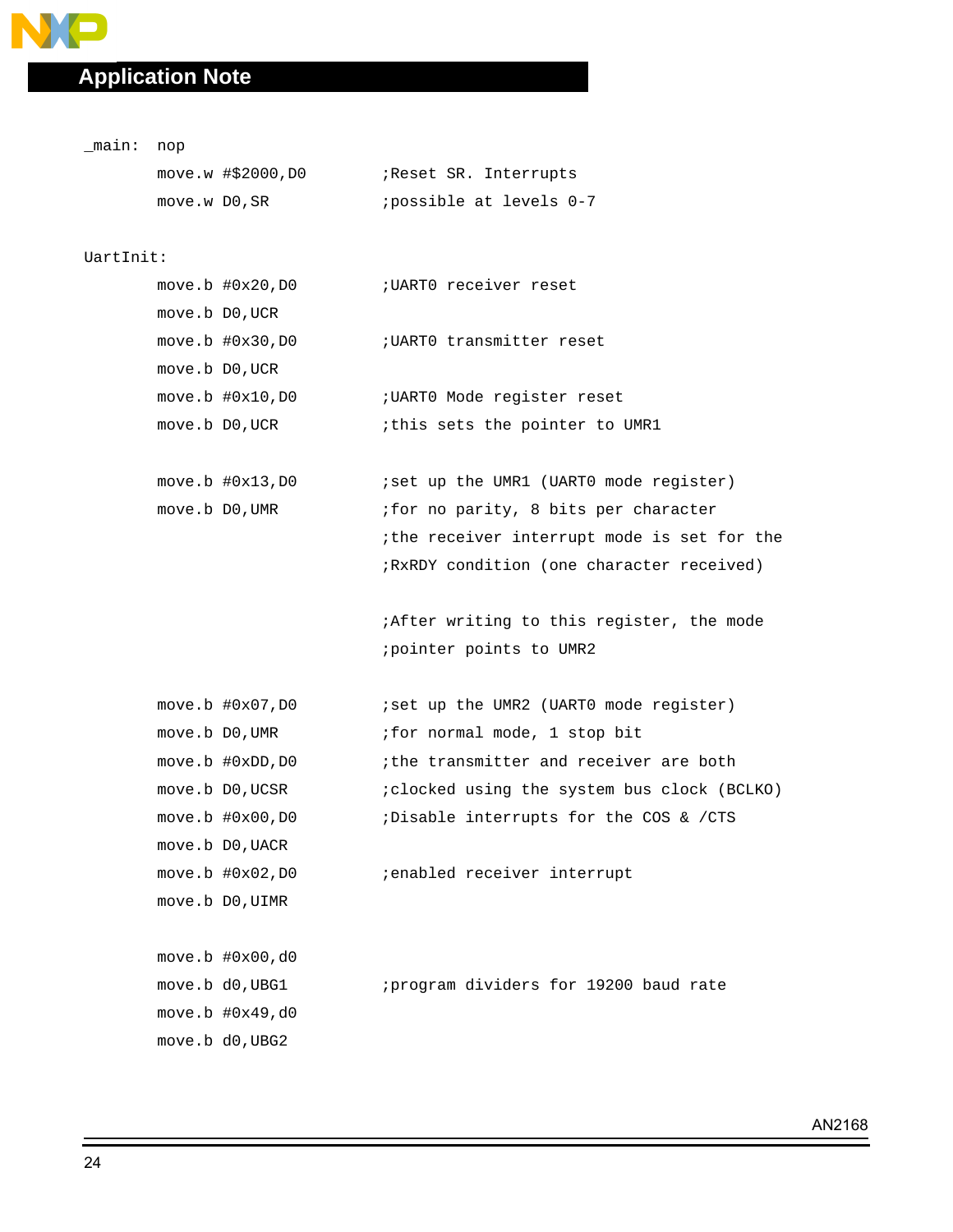**NO** 

| _main: nop |               |                      |                                                  |
|------------|---------------|----------------------|--------------------------------------------------|
|            |               | $move.w$ #\$2000, D0 | Reset SR. Interrupts                             |
|            | move.w DO, SR |                      | ; possible at levels 0-7                         |
|            |               |                      |                                                  |
| UartInit:  |               |                      |                                                  |
|            |               |                      |                                                  |
|            |               | move.b D0, UCR       |                                                  |
|            |               | $move.b$ $#0x30,D0$  | ; UARTO transmitter reset                        |
|            |               | move.b D0, UCR       |                                                  |
|            |               | $move.b$ $#0x10,D0$  | ; UARTO Mode register reset                      |
|            |               | move.b D0, UCR       | ithis sets the pointer to UMR1                   |
|            |               |                      |                                                  |
|            |               | $move.b$ $#0x13,D0$  | iset up the UMR1 (UART0 mode register)           |
|            |               | move.b D0, UMR       | ifor no parity, 8 bits per character             |
|            |               |                      | ithe receiver interrupt mode is set for the      |
|            |               |                      | ; RxRDY condition (one character received)       |
|            |               |                      |                                                  |
|            |               |                      | <i>iAfter writing to this register, the mode</i> |
|            |               |                      | ; pointer points to UMR2                         |
|            |               |                      |                                                  |
|            |               | $move.b$ # $0x07,D0$ | iset up the UMR2 (UARTO mode register)           |
|            |               | move.b DO, UMR       | ; for normal mode, 1 stop bit                    |
|            |               | move.b #0xDD, D0     | ithe transmitter and receiver are both           |
|            |               | move.b D0, UCSR      | ; clocked using the system bus clock (BCLKO)     |
|            |               | move.b #0x00, D0     | ;Disable interrupts for the COS & /CTS           |
|            |               | move.b D0, UACR      |                                                  |
|            |               | move.b $#0x02,D0$    | ; enabled receiver interrupt                     |
|            |               | move.b DO, UIMR      |                                                  |
|            |               |                      |                                                  |
|            |               | move.b $#0x00$ , d0  |                                                  |
|            |               | move.b d0, UBG1      | ; program dividers for 19200 baud rate           |
|            |               | move.b $#0x49, d0$   |                                                  |
|            |               | move.b d0, UBG2      |                                                  |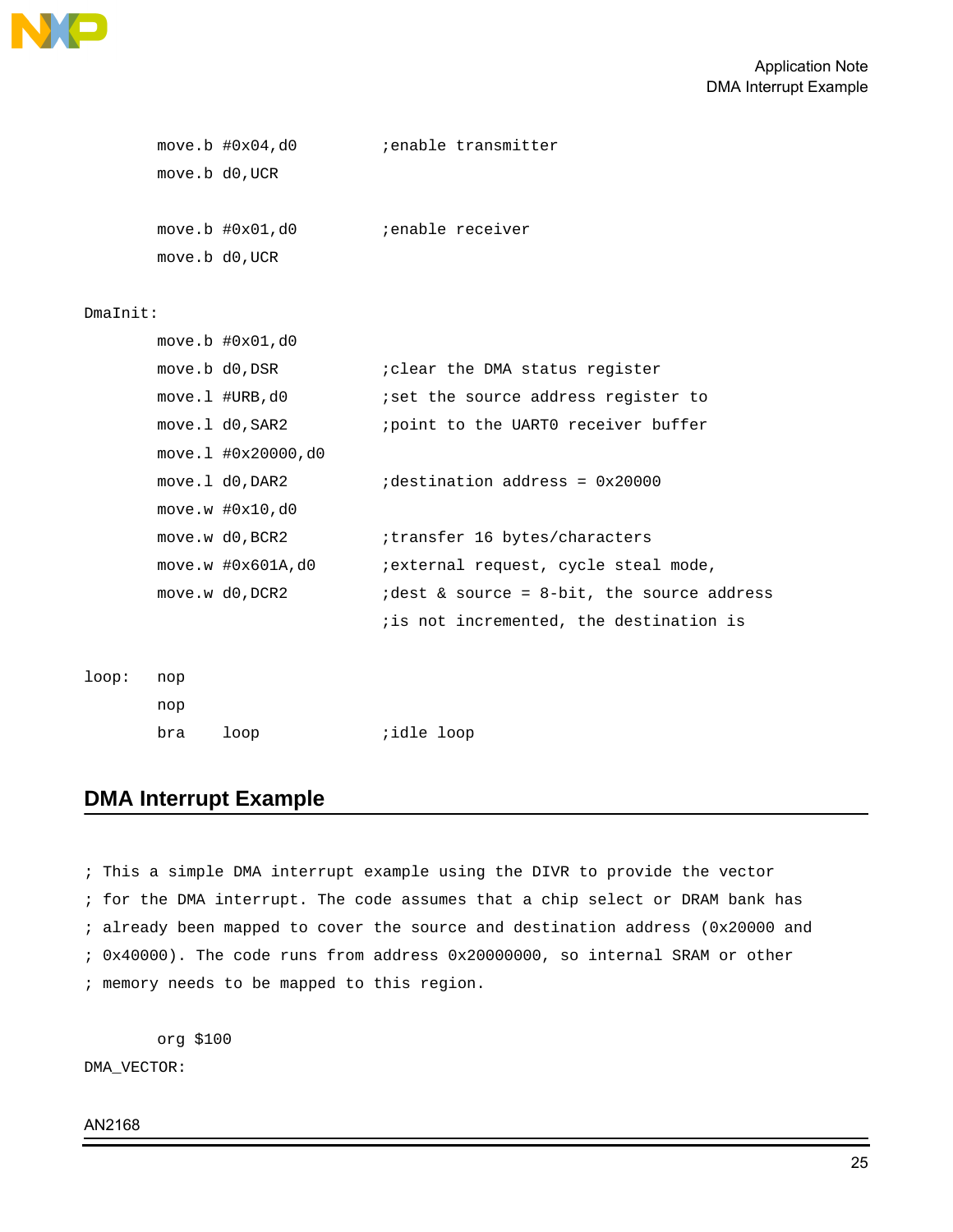

```
move.b #0x04,d0 ;enable transmitter
      move.b d0,UCR
      move.b #0x01,d0 ;enable receiver
      move.b d0,UCR
DmaInit:
```

|  | $move.b$ # $0x01$ , $d0$  |                                              |
|--|---------------------------|----------------------------------------------|
|  | move.b d0, DSR            | <i>i</i> clear the DMA status register       |
|  | $move .1$ #URB, $do$      | iset the source address register to          |
|  | move.1 d0, SAR2           | point to the UARTO receiver buffer           |
|  | $move.1$ #0 $x20000$ , d0 |                                              |
|  | move.1 d0,DAR2            | $idestination address = 0x20000$             |
|  | move.w #0x10,d0           |                                              |
|  | move.w d0, BCR2           | itransfer 16 bytes/characters                |
|  | move.w #0x601A,d0         | ;external request, cycle steal mode,         |
|  | move.w d0, DCR2           | $idest$ & source = 8-bit, the source address |
|  |                           | iis not incremented, the destination is      |
|  |                           |                                              |

loop: nop

nop

| bra | loop | <i>i</i> dle loop |  |
|-----|------|-------------------|--|
|-----|------|-------------------|--|

### **DMA Interrupt Example**

; This a simple DMA interrupt example using the DIVR to provide the vector ; for the DMA interrupt. The code assumes that a chip select or DRAM bank has ; already been mapped to cover the source and destination address (0x20000 and ; 0x40000). The code runs from address 0x20000000, so internal SRAM or other ; memory needs to be mapped to this region.

org \$100

DMA\_VECTOR: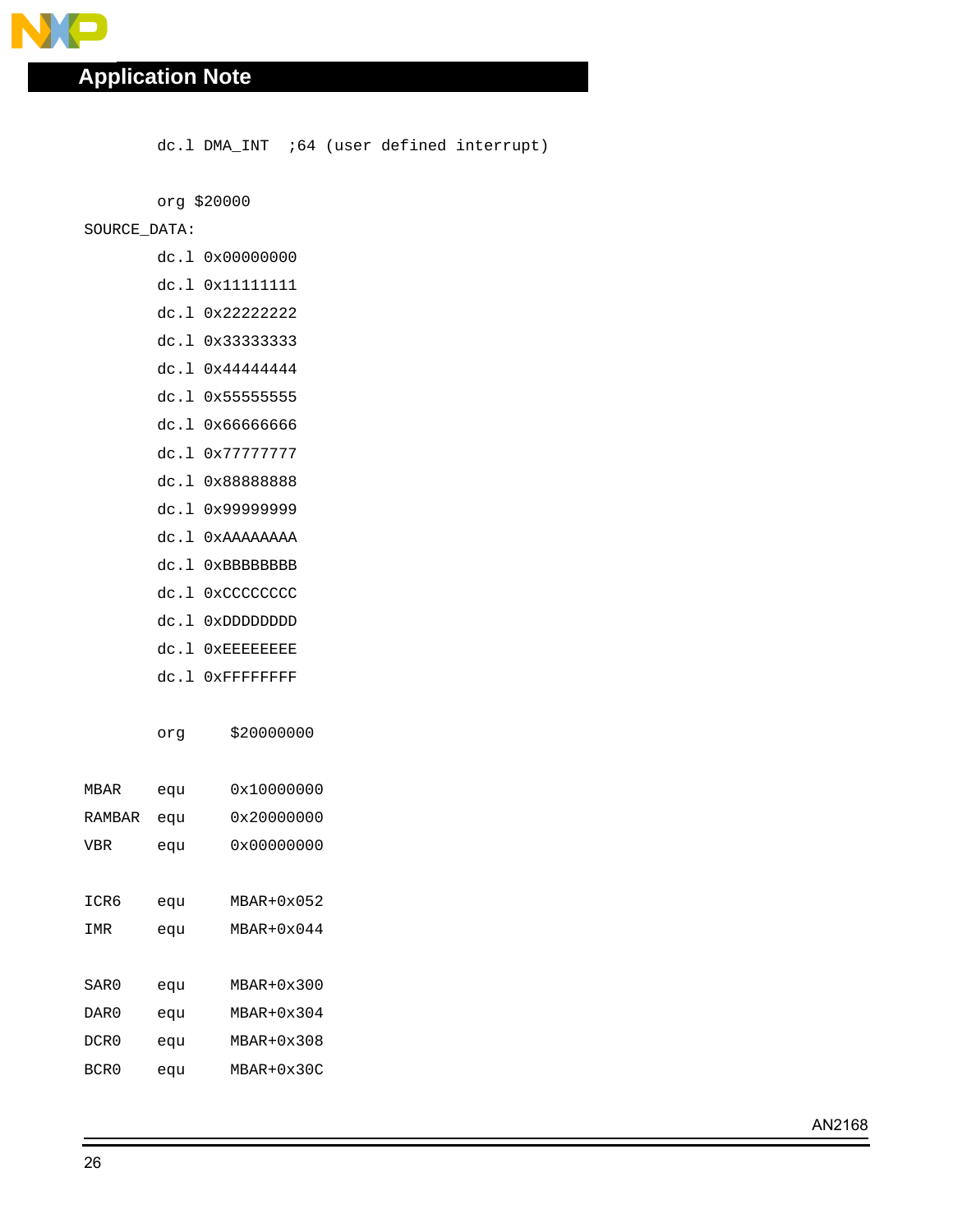$\mathbf{L}$ 

dc.l DMA\_INT :64 (user defined interrupt)

org \$20000

#### SOURCE\_DATA:

- dc.l 0x00000000
- dc.l 0x11111111
- dc.l 0x22222222
- dc.l 0x33333333
- dc.l 0x44444444
- dc.l 0x55555555
- dc.l 0x66666666
- dc.l 0x77777777
- dc.l 0x88888888
- dc.l 0x99999999
- dc.l 0xAAAAAAAA
- dc.l 0xBBBBBBBB
- dc.l 0xCCCCCCCC
- dc.l 0xDDDDDDDD
- dc.l 0xEEEEEEEE
- dc.l 0xFFFFFFFF

org \$20000000

| MBAR   | equ | 0x10000000   |
|--------|-----|--------------|
| RAMBAR | equ | 0x20000000   |
| VBR    | equ | 0x00000000   |
|        |     |              |
| ICR6   | equ | $MBAR+0x052$ |
| IMR    | equ | $MBAR+0x044$ |
|        |     |              |
| SAR0   | equ | MBAR+0x300   |
| DAR 0  | equ | MBAR+0x304   |
| DCR0   | equ | MBAR+0x308   |
| BCR0   | equ | MBAR+0x30C   |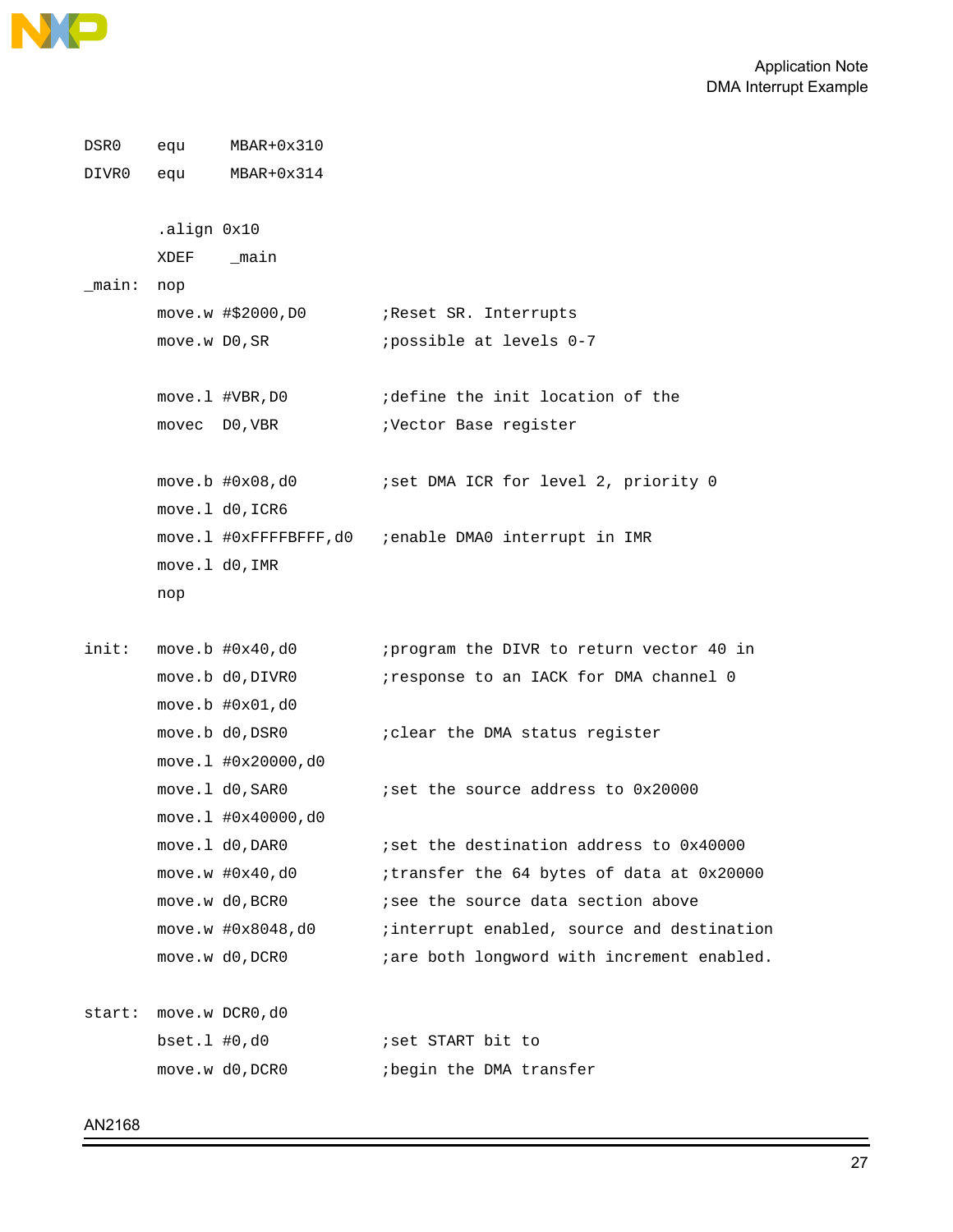

```
DSR0 equ MBAR+0x310
DIVR0 equ MBAR+0x314
       .align 0x10
      XDEF _main
_main: nop
      move.w #$2000, D0 ;Reset SR. Interrupts
      move.w DO, SR ipossible at levels 0-7
      move.1 #VBR, D0 ;define the init location of the
      movec D0, VBR ; Vector Base register
      move.b #0x08,d0 ;set DMA ICR for level 2, priority 0
      move.l d0,ICR6
      move.l #0xFFFFBFFF,d0 ;enable DMA0 interrupt in IMR
      move.l d0,IMR
      nop
init: move.b #0x40,d0 ; program the DIVR to return vector 40 in
      move.b d0, DIVR0 : response to an IACK for DMA channel 0
      move.b #0x01,d0
      move.b d0, DSR0 ;clear the DMA status register
      move.l #0x20000,d0
      move.1 d0, SAR0 ;set the source address to 0x20000
      move.l #0x40000,d0
      move.1 d0, DAR0 ; iset the destination address to 0x40000
      move.w #0x40,d0 ;transfer the 64 bytes of data at 0x20000
      move.w d0, BCR0 ; isee the source data section above
      move.w #0x8048,d0 ;interrupt enabled, source and destination
      move.w d0, DCR0 ; are both longword with increment enabled.
start: move.w DCR0,d0
      bset.l #0,d0 ;set START bit to
      move.w d0, DCR0 ;begin the DMA transfer
```